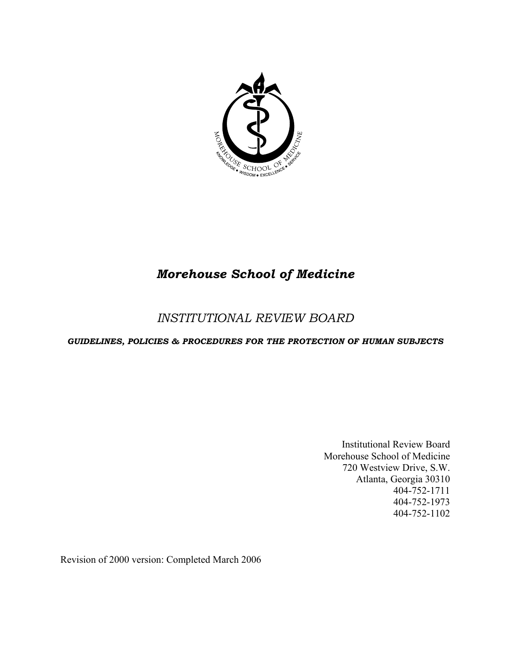

# *Morehouse School of Medicine*

# *INSTITUTIONAL REVIEW BOARD*

# *GUIDELINES, POLICIES & PROCEDURES FOR THE PROTECTION OF HUMAN SUBJECTS*

Institutional Review Board Morehouse School of Medicine 720 Westview Drive, S.W. Atlanta, Georgia 30310 404-752-1711 404-752-1973 404-752-1102

Revision of 2000 version: Completed March 2006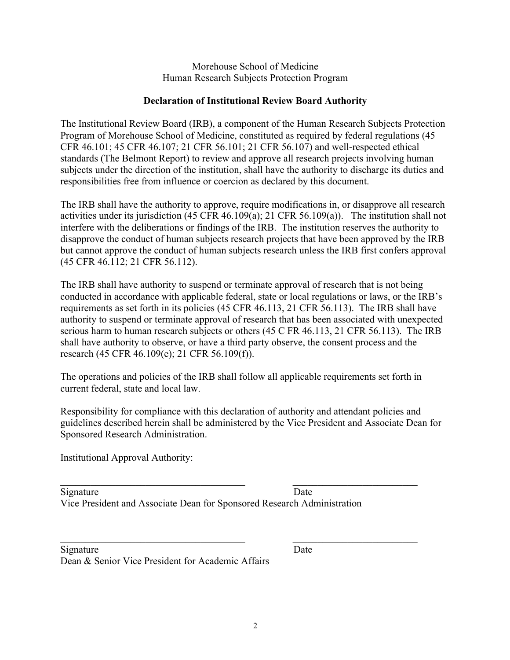Morehouse School of Medicine Human Research Subjects Protection Program

## **Declaration of Institutional Review Board Authority**

The Institutional Review Board (IRB), a component of the Human Research Subjects Protection Program of Morehouse School of Medicine, constituted as required by federal regulations (45 CFR 46.101; 45 CFR 46.107; 21 CFR 56.101; 21 CFR 56.107) and well-respected ethical standards (The Belmont Report) to review and approve all research projects involving human subjects under the direction of the institution, shall have the authority to discharge its duties and responsibilities free from influence or coercion as declared by this document.

The IRB shall have the authority to approve, require modifications in, or disapprove all research activities under its jurisdiction (45 CFR 46.109(a); 21 CFR 56.109(a)). The institution shall not interfere with the deliberations or findings of the IRB. The institution reserves the authority to disapprove the conduct of human subjects research projects that have been approved by the IRB but cannot approve the conduct of human subjects research unless the IRB first confers approval (45 CFR 46.112; 21 CFR 56.112).

The IRB shall have authority to suspend or terminate approval of research that is not being conducted in accordance with applicable federal, state or local regulations or laws, or the IRB's requirements as set forth in its policies (45 CFR 46.113, 21 CFR 56.113). The IRB shall have authority to suspend or terminate approval of research that has been associated with unexpected serious harm to human research subjects or others (45 C FR 46.113, 21 CFR 56.113). The IRB shall have authority to observe, or have a third party observe, the consent process and the research (45 CFR 46.109(e); 21 CFR 56.109(f)).

The operations and policies of the IRB shall follow all applicable requirements set forth in current federal, state and local law.

Responsibility for compliance with this declaration of authority and attendant policies and guidelines described herein shall be administered by the Vice President and Associate Dean for Sponsored Research Administration.

Institutional Approval Authority:

| Signature                                                               | Date |
|-------------------------------------------------------------------------|------|
| Vice President and Associate Dean for Sponsored Research Administration |      |

| Signature                                         | Date |
|---------------------------------------------------|------|
| Dean & Senior Vice President for Academic Affairs |      |

 $\mathcal{L}_\text{max} = \frac{1}{2} \sum_{i=1}^n \mathcal{L}_\text{max}(\mathbf{z}_i - \mathbf{z}_i)$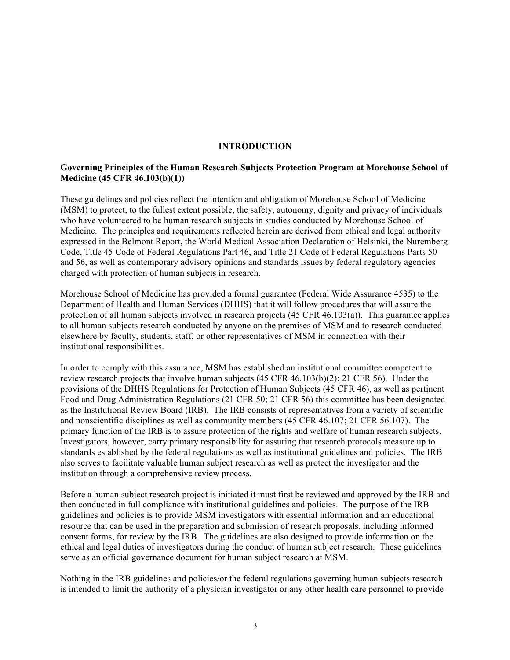#### **INTRODUCTION**

#### **Governing Principles of the Human Research Subjects Protection Program at Morehouse School of Medicine (45 CFR 46.103(b)(1))**

These guidelines and policies reflect the intention and obligation of Morehouse School of Medicine (MSM) to protect, to the fullest extent possible, the safety, autonomy, dignity and privacy of individuals who have volunteered to be human research subjects in studies conducted by Morehouse School of Medicine. The principles and requirements reflected herein are derived from ethical and legal authority expressed in the Belmont Report, the World Medical Association Declaration of Helsinki, the Nuremberg Code, Title 45 Code of Federal Regulations Part 46, and Title 21 Code of Federal Regulations Parts 50 and 56, as well as contemporary advisory opinions and standards issues by federal regulatory agencies charged with protection of human subjects in research.

Morehouse School of Medicine has provided a formal guarantee (Federal Wide Assurance 4535) to the Department of Health and Human Services (DHHS) that it will follow procedures that will assure the protection of all human subjects involved in research projects (45 CFR 46.103(a)). This guarantee applies to all human subjects research conducted by anyone on the premises of MSM and to research conducted elsewhere by faculty, students, staff, or other representatives of MSM in connection with their institutional responsibilities.

In order to comply with this assurance, MSM has established an institutional committee competent to review research projects that involve human subjects (45 CFR 46.103(b)(2); 21 CFR 56). Under the provisions of the DHHS Regulations for Protection of Human Subjects (45 CFR 46), as well as pertinent Food and Drug Administration Regulations (21 CFR 50; 21 CFR 56) this committee has been designated as the Institutional Review Board (IRB). The IRB consists of representatives from a variety of scientific and nonscientific disciplines as well as community members (45 CFR 46.107; 21 CFR 56.107). The primary function of the IRB is to assure protection of the rights and welfare of human research subjects. Investigators, however, carry primary responsibility for assuring that research protocols measure up to standards established by the federal regulations as well as institutional guidelines and policies. The IRB also serves to facilitate valuable human subject research as well as protect the investigator and the institution through a comprehensive review process.

Before a human subject research project is initiated it must first be reviewed and approved by the IRB and then conducted in full compliance with institutional guidelines and policies. The purpose of the IRB guidelines and policies is to provide MSM investigators with essential information and an educational resource that can be used in the preparation and submission of research proposals, including informed consent forms, for review by the IRB. The guidelines are also designed to provide information on the ethical and legal duties of investigators during the conduct of human subject research. These guidelines serve as an official governance document for human subject research at MSM.

Nothing in the IRB guidelines and policies/or the federal regulations governing human subjects research is intended to limit the authority of a physician investigator or any other health care personnel to provide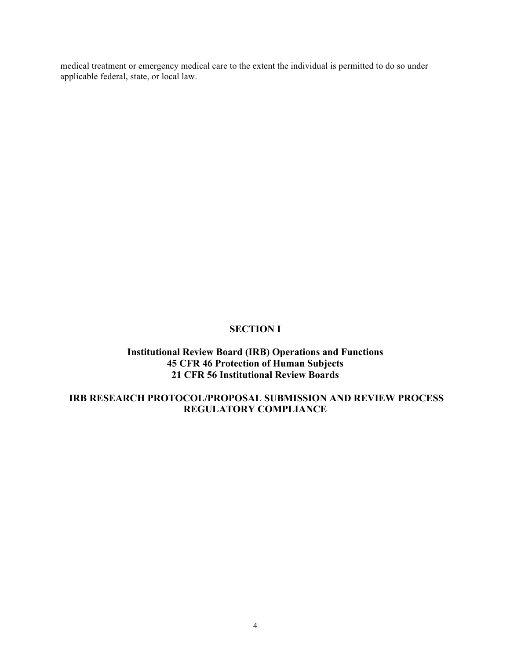medical treatment or emergency medical care to the extent the individual is permitted to do so under applicable federal, state, or local law.

#### **SECTION I**

## **Institutional Review Board (IRB) Operations and Functions 45 CFR 46 Protection of Human Subjects 21 CFR 56 Institutional Review Boards**

## **IRB RESEARCH PROTOCOL/PROPOSAL SUBMISSION AND REVIEW PROCESS REGULATORY COMPLIANCE**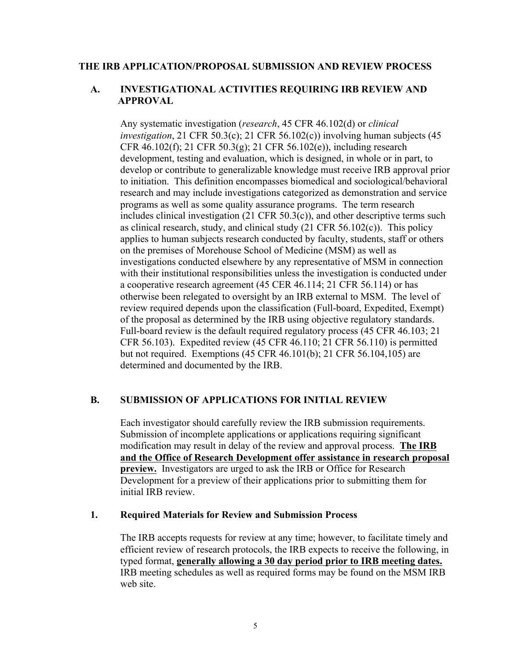#### **THE IRB APPLICATION/PROPOSAL SUBMISSION AND REVIEW PROCESS**

## **A. INVESTIGATIONAL ACTIVITIES REQUIRING IRB REVIEW AND APPROVAL**

Any systematic investigation (*research*, 45 CFR 46.102(d) or *clinical investigation*, 21 CFR 50.3(c); 21 CFR 56.102(c)) involving human subjects (45 CFR 46.102(f); 21 CFR 50.3(g); 21 CFR 56.102(e)), including research development, testing and evaluation, which is designed, in whole or in part, to develop or contribute to generalizable knowledge must receive IRB approval prior to initiation. This definition encompasses biomedical and sociological/behavioral research and may include investigations categorized as demonstration and service programs as well as some quality assurance programs. The term research includes clinical investigation (21 CFR 50.3(c)), and other descriptive terms such as clinical research, study, and clinical study  $(21 \text{ CFR } 56.102(c))$ . This policy applies to human subjects research conducted by faculty, students, staff or others on the premises of Morehouse School of Medicine (MSM) as well as investigations conducted elsewhere by any representative of MSM in connection with their institutional responsibilities unless the investigation is conducted under a cooperative research agreement (45 CER 46.114; 21 CFR 56.114) or has otherwise been relegated to oversight by an IRB external to MSM. The level of review required depends upon the classification (Full-board, Expedited, Exempt) of the proposal as determined by the IRB using objective regulatory standards. Full-board review is the default required regulatory process (45 CFR 46.103; 21 CFR 56.103). Expedited review (45 CFR 46.110; 21 CFR 56.110) is permitted but not required. Exemptions (45 CFR 46.101(b); 21 CFR 56.104,105) are determined and documented by the IRB.

#### **B. SUBMISSION OF APPLICATIONS FOR INITIAL REVIEW**

Each investigator should carefully review the IRB submission requirements. Submission of incomplete applications or applications requiring significant modification may result in delay of the review and approval process. **The IRB and the Office of Research Development offer assistance in research proposal preview.** Investigators are urged to ask the IRB or Office for Research Development for a preview of their applications prior to submitting them for initial IRB review.

#### **1. Required Materials for Review and Submission Process**

The IRB accepts requests for review at any time; however, to facilitate timely and efficient review of research protocols, the IRB expects to receive the following, in typed format, **generally allowing a 30 day period prior to IRB meeting dates.** IRB meeting schedules as well as required forms may be found on the MSM IRB web site.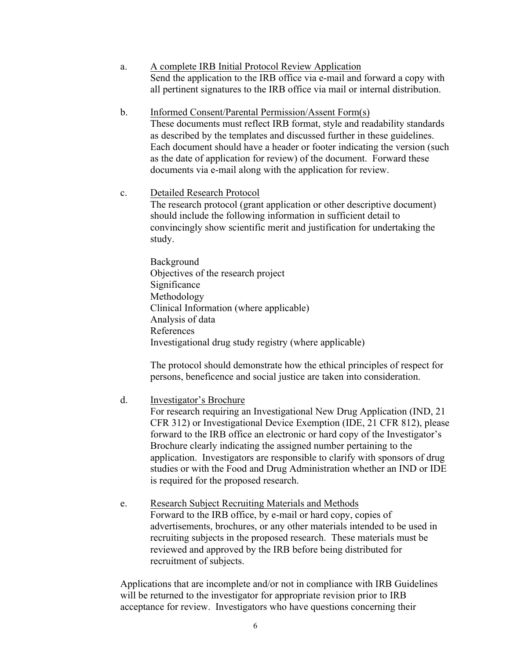- a. A complete IRB Initial Protocol Review Application Send the application to the IRB office via e-mail and forward a copy with all pertinent signatures to the IRB office via mail or internal distribution.
- b. b. Informed Consent/Parental Permission/Assent Form(s) These documents must reflect IRB format, style and readability standards as described by the templates and discussed further in these guidelines. Each document should have a header or footer indicating the version (such as the date of application for review) of the document. Forward these documents via e-mail along with the application for review.
- c. Detailed Research Protocol The research protocol (grant application or other descriptive document) should include the following information in sufficient detail to convincingly show scientific merit and justification for undertaking the study.
	- Background Objectives of the research project Significance Methodology Clinical Information (where applicable) Analysis of data References Investigational drug study registry (where applicable)

The protocol should demonstrate how the ethical principles of respect for persons, beneficence and social justice are taken into consideration.

d. Investigator's Brochure

For research requiring an Investigational New Drug Application (IND, 21 CFR 312) or Investigational Device Exemption (IDE, 21 CFR 812), please forward to the IRB office an electronic or hard copy of the Investigator's Brochure clearly indicating the assigned number pertaining to the application. Investigators are responsible to clarify with sponsors of drug studies or with the Food and Drug Administration whether an IND or IDE is required for the proposed research.

e. Research Subject Recruiting Materials and Methods Forward to the IRB office, by e-mail or hard copy, copies of advertisements, brochures, or any other materials intended to be used in recruiting subjects in the proposed research. These materials must be reviewed and approved by the IRB before being distributed for recruitment of subjects.

Applications that are incomplete and/or not in compliance with IRB Guidelines will be returned to the investigator for appropriate revision prior to IRB acceptance for review. Investigators who have questions concerning their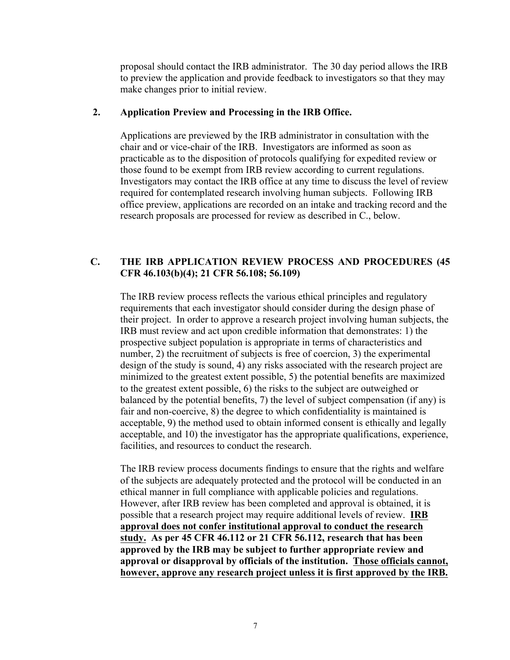proposal should contact the IRB administrator. The 30 day period allows the IRB to preview the application and provide feedback to investigators so that they may make changes prior to initial review.

## **2. Application Preview and Processing in the IRB Office.**

Applications are previewed by the IRB administrator in consultation with the chair and or vice-chair of the IRB. Investigators are informed as soon as practicable as to the disposition of protocols qualifying for expedited review or those found to be exempt from IRB review according to current regulations. Investigators may contact the IRB office at any time to discuss the level of review required for contemplated research involving human subjects. Following IRB office preview, applications are recorded on an intake and tracking record and the research proposals are processed for review as described in C., below.

# **C. THE IRB APPLICATION REVIEW PROCESS AND PROCEDURES (45 CFR 46.103(b)(4); 21 CFR 56.108; 56.109)**

The IRB review process reflects the various ethical principles and regulatory requirements that each investigator should consider during the design phase of their project. In order to approve a research project involving human subjects, the IRB must review and act upon credible information that demonstrates: 1) the prospective subject population is appropriate in terms of characteristics and number, 2) the recruitment of subjects is free of coercion, 3) the experimental design of the study is sound, 4) any risks associated with the research project are minimized to the greatest extent possible, 5) the potential benefits are maximized to the greatest extent possible, 6) the risks to the subject are outweighed or balanced by the potential benefits, 7) the level of subject compensation (if any) is fair and non-coercive, 8) the degree to which confidentiality is maintained is acceptable, 9) the method used to obtain informed consent is ethically and legally acceptable, and 10) the investigator has the appropriate qualifications, experience, facilities, and resources to conduct the research.

The IRB review process documents findings to ensure that the rights and welfare of the subjects are adequately protected and the protocol will be conducted in an ethical manner in full compliance with applicable policies and regulations. However, after IRB review has been completed and approval is obtained, it is possible that a research project may require additional levels of review. **IRB approval does not confer institutional approval to conduct the research study. As per 45 CFR 46.112 or 21 CFR 56.112, research that has been approved by the IRB may be subject to further appropriate review and approval or disapproval by officials of the institution. Those officials cannot, however, approve any research project unless it is first approved by the IRB.**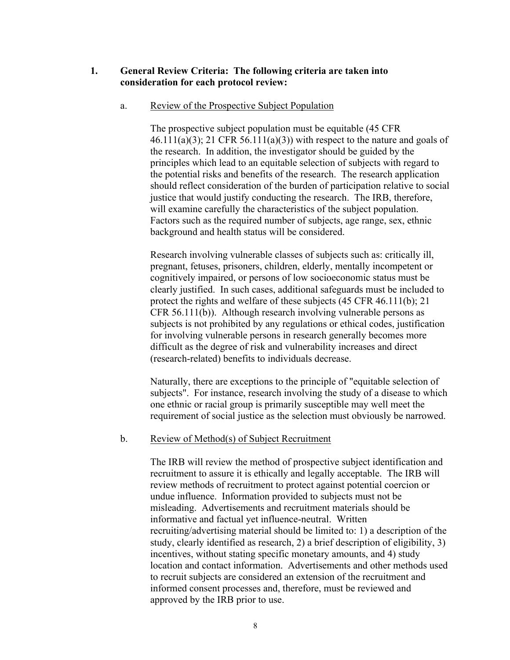## **1. General Review Criteria: The following criteria are taken into consideration for each protocol review:**

#### a. Review of the Prospective Subject Population

The prospective subject population must be equitable (45 CFR  $46.111(a)(3)$ ; 21 CFR 56.111(a)(3)) with respect to the nature and goals of the research. In addition, the investigator should be guided by the principles which lead to an equitable selection of subjects with regard to the potential risks and benefits of the research. The research application should reflect consideration of the burden of participation relative to social justice that would justify conducting the research. The IRB, therefore, will examine carefully the characteristics of the subject population. Factors such as the required number of subjects, age range, sex, ethnic background and health status will be considered.

Research involving vulnerable classes of subjects such as: critically ill, pregnant, fetuses, prisoners, children, elderly, mentally incompetent or cognitively impaired, or persons of low socioeconomic status must be clearly justified. In such cases, additional safeguards must be included to protect the rights and welfare of these subjects (45 CFR 46.111(b); 21 CFR 56.111(b)). Although research involving vulnerable persons as subjects is not prohibited by any regulations or ethical codes, justification for involving vulnerable persons in research generally becomes more difficult as the degree of risk and vulnerability increases and direct (research-related) benefits to individuals decrease.

Naturally, there are exceptions to the principle of "equitable selection of subjects". For instance, research involving the study of a disease to which one ethnic or racial group is primarily susceptible may well meet the requirement of social justice as the selection must obviously be narrowed.

#### b. Review of Method(s) of Subject Recruitment

The IRB will review the method of prospective subject identification and recruitment to assure it is ethically and legally acceptable. The IRB will review methods of recruitment to protect against potential coercion or undue influence. Information provided to subjects must not be misleading. Advertisements and recruitment materials should be informative and factual yet influence-neutral. Written recruiting/advertising material should be limited to: 1) a description of the study, clearly identified as research, 2) a brief description of eligibility, 3) incentives, without stating specific monetary amounts, and 4) study location and contact information. Advertisements and other methods used to recruit subjects are considered an extension of the recruitment and informed consent processes and, therefore, must be reviewed and approved by the IRB prior to use.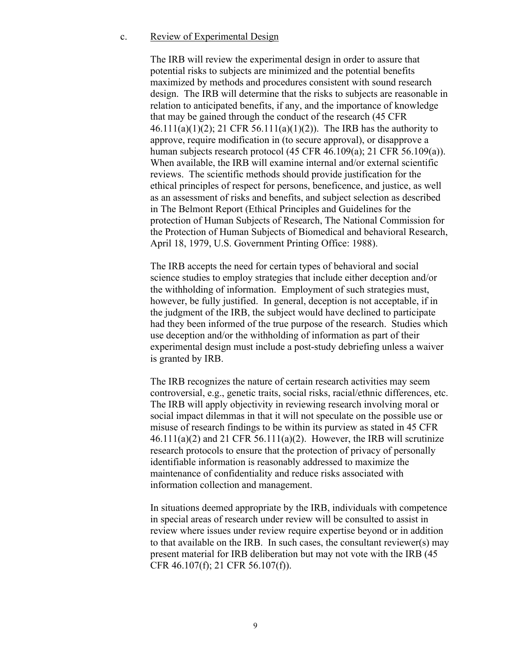#### c. Review of Experimental Design

The IRB will review the experimental design in order to assure that potential risks to subjects are minimized and the potential benefits maximized by methods and procedures consistent with sound research design. The IRB will determine that the risks to subjects are reasonable in relation to anticipated benefits, if any, and the importance of knowledge that may be gained through the conduct of the research (45 CFR 46.111(a)(1)(2); 21 CFR 56.111(a)(1)(2)). The IRB has the authority to approve, require modification in (to secure approval), or disapprove a human subjects research protocol (45 CFR 46.109(a); 21 CFR 56.109(a)). When available, the IRB will examine internal and/or external scientific reviews. The scientific methods should provide justification for the ethical principles of respect for persons, beneficence, and justice, as well as an assessment of risks and benefits, and subject selection as described in The Belmont Report (Ethical Principles and Guidelines for the protection of Human Subjects of Research, The National Commission for the Protection of Human Subjects of Biomedical and behavioral Research, April 18, 1979, U.S. Government Printing Office: 1988).

The IRB accepts the need for certain types of behavioral and social science studies to employ strategies that include either deception and/or the withholding of information. Employment of such strategies must, however, be fully justified. In general, deception is not acceptable, if in the judgment of the IRB, the subject would have declined to participate had they been informed of the true purpose of the research. Studies which use deception and/or the withholding of information as part of their experimental design must include a post-study debriefing unless a waiver is granted by IRB.

The IRB recognizes the nature of certain research activities may seem controversial, e.g., genetic traits, social risks, racial/ethnic differences, etc. The IRB will apply objectivity in reviewing research involving moral or social impact dilemmas in that it will not speculate on the possible use or misuse of research findings to be within its purview as stated in 45 CFR  $46.111(a)(2)$  and 21 CFR 56.111(a)(2). However, the IRB will scrutinize research protocols to ensure that the protection of privacy of personally identifiable information is reasonably addressed to maximize the maintenance of confidentiality and reduce risks associated with information collection and management.

In situations deemed appropriate by the IRB, individuals with competence in special areas of research under review will be consulted to assist in review where issues under review require expertise beyond or in addition to that available on the IRB. In such cases, the consultant reviewer(s) may present material for IRB deliberation but may not vote with the IRB (45 CFR 46.107(f); 21 CFR 56.107(f)).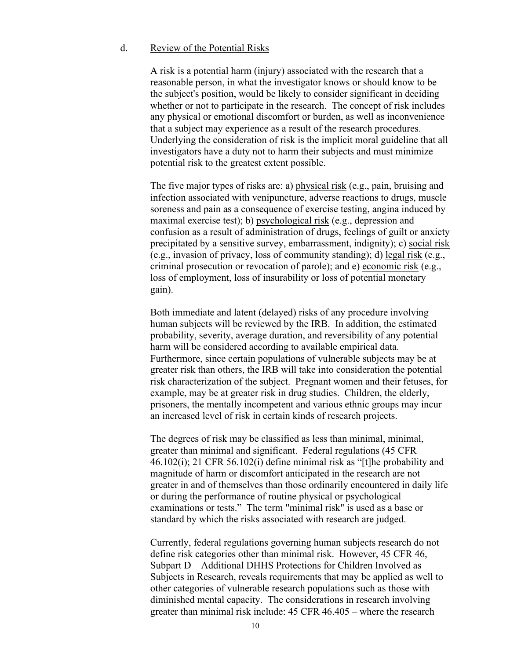#### d. Review of the Potential Risks

A risk is a potential harm (injury) associated with the research that a reasonable person, in what the investigator knows or should know to be the subject's position, would be likely to consider significant in deciding whether or not to participate in the research. The concept of risk includes any physical or emotional discomfort or burden, as well as inconvenience that a subject may experience as a result of the research procedures. Underlying the consideration of risk is the implicit moral guideline that all investigators have a duty not to harm their subjects and must minimize potential risk to the greatest extent possible.

The five major types of risks are: a) physical risk (e.g., pain, bruising and infection associated with venipuncture, adverse reactions to drugs, muscle soreness and pain as a consequence of exercise testing, angina induced by maximal exercise test); b) psychological risk (e.g., depression and confusion as a result of administration of drugs, feelings of guilt or anxiety precipitated by a sensitive survey, embarrassment, indignity); c) social risk (e.g., invasion of privacy, loss of community standing); d) legal risk (e.g., criminal prosecution or revocation of parole); and e) economic risk (e.g., loss of employment, loss of insurability or loss of potential monetary gain).

Both immediate and latent (delayed) risks of any procedure involving human subjects will be reviewed by the IRB. In addition, the estimated probability, severity, average duration, and reversibility of any potential harm will be considered according to available empirical data. Furthermore, since certain populations of vulnerable subjects may be at greater risk than others, the IRB will take into consideration the potential risk characterization of the subject. Pregnant women and their fetuses, for example, may be at greater risk in drug studies. Children, the elderly, prisoners, the mentally incompetent and various ethnic groups may incur an increased level of risk in certain kinds of research projects.

The degrees of risk may be classified as less than minimal, minimal, greater than minimal and significant. Federal regulations (45 CFR 46.102(i); 21 CFR 56.102(i) define minimal risk as "[t]he probability and magnitude of harm or discomfort anticipated in the research are not greater in and of themselves than those ordinarily encountered in daily life or during the performance of routine physical or psychological examinations or tests." The term "minimal risk" is used as a base or standard by which the risks associated with research are judged.

Currently, federal regulations governing human subjects research do not define risk categories other than minimal risk. However, 45 CFR 46, Subpart D – Additional DHHS Protections for Children Involved as Subjects in Research, reveals requirements that may be applied as well to other categories of vulnerable research populations such as those with diminished mental capacity. The considerations in research involving greater than minimal risk include: 45 CFR 46.405 – where the research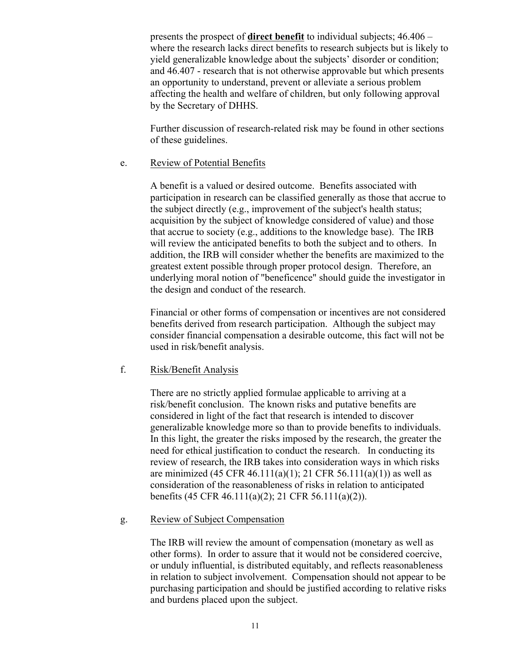presents the prospect of **direct benefit** to individual subjects; 46.406 – where the research lacks direct benefits to research subjects but is likely to yield generalizable knowledge about the subjects' disorder or condition; and 46.407 - research that is not otherwise approvable but which presents an opportunity to understand, prevent or alleviate a serious problem affecting the health and welfare of children, but only following approval by the Secretary of DHHS.

Further discussion of research-related risk may be found in other sections of these guidelines.

#### e. Review of Potential Benefits

A benefit is a valued or desired outcome. Benefits associated with participation in research can be classified generally as those that accrue to the subject directly (e.g., improvement of the subject's health status; acquisition by the subject of knowledge considered of value) and those that accrue to society (e.g., additions to the knowledge base). The IRB will review the anticipated benefits to both the subject and to others. In addition, the IRB will consider whether the benefits are maximized to the greatest extent possible through proper protocol design. Therefore, an underlying moral notion of "beneficence" should guide the investigator in the design and conduct of the research.

Financial or other forms of compensation or incentives are not considered benefits derived from research participation. Although the subject may consider financial compensation a desirable outcome, this fact will not be used in risk/benefit analysis.

#### f. Risk/Benefit Analysis

There are no strictly applied formulae applicable to arriving at a risk/benefit conclusion. The known risks and putative benefits are considered in light of the fact that research is intended to discover generalizable knowledge more so than to provide benefits to individuals. In this light, the greater the risks imposed by the research, the greater the need for ethical justification to conduct the research. In conducting its review of research, the IRB takes into consideration ways in which risks are minimized (45 CFR 46.111(a)(1); 21 CFR 56.111(a)(1)) as well as consideration of the reasonableness of risks in relation to anticipated benefits (45 CFR 46.111(a)(2); 21 CFR 56.111(a)(2)).

#### g. Review of Subject Compensation

The IRB will review the amount of compensation (monetary as well as other forms). In order to assure that it would not be considered coercive, or unduly influential, is distributed equitably, and reflects reasonableness in relation to subject involvement. Compensation should not appear to be purchasing participation and should be justified according to relative risks and burdens placed upon the subject.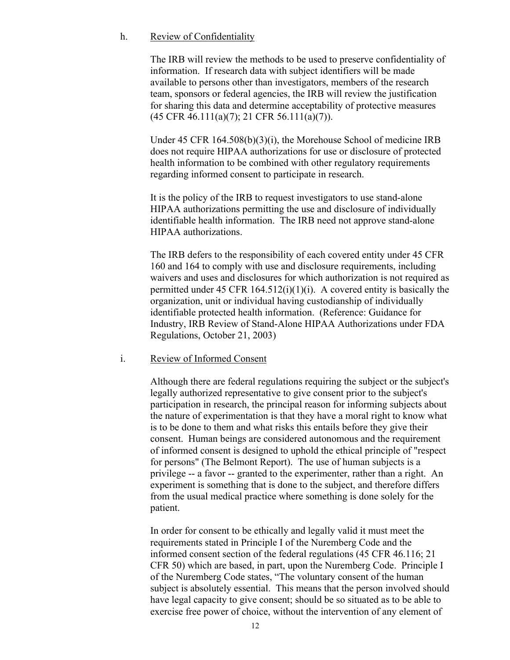#### h. Review of Confidentiality

The IRB will review the methods to be used to preserve confidentiality of information. If research data with subject identifiers will be made available to persons other than investigators, members of the research team, sponsors or federal agencies, the IRB will review the justification for sharing this data and determine acceptability of protective measures (45 CFR 46.111(a)(7); 21 CFR 56.111(a)(7)).

Under 45 CFR 164.508(b)(3)(i), the Morehouse School of medicine IRB does not require HIPAA authorizations for use or disclosure of protected health information to be combined with other regulatory requirements regarding informed consent to participate in research.

It is the policy of the IRB to request investigators to use stand-alone HIPAA authorizations permitting the use and disclosure of individually identifiable health information. The IRB need not approve stand-alone HIPAA authorizations.

The IRB defers to the responsibility of each covered entity under 45 CFR 160 and 164 to comply with use and disclosure requirements, including waivers and uses and disclosures for which authorization is not required as permitted under 45 CFR  $164.512(i)(1)(i)$ . A covered entity is basically the organization, unit or individual having custodianship of individually identifiable protected health information. (Reference: Guidance for Industry, IRB Review of Stand-Alone HIPAA Authorizations under FDA Regulations, October 21, 2003)

#### i. Review of Informed Consent

Although there are federal regulations requiring the subject or the subject's legally authorized representative to give consent prior to the subject's participation in research, the principal reason for informing subjects about the nature of experimentation is that they have a moral right to know what is to be done to them and what risks this entails before they give their consent. Human beings are considered autonomous and the requirement of informed consent is designed to uphold the ethical principle of "respect for persons" (The Belmont Report). The use of human subjects is a privilege -- a favor -- granted to the experimenter, rather than a right. An experiment is something that is done to the subject, and therefore differs from the usual medical practice where something is done solely for the patient.

In order for consent to be ethically and legally valid it must meet the requirements stated in Principle I of the Nuremberg Code and the informed consent section of the federal regulations (45 CFR 46.116; 21 CFR 50) which are based, in part, upon the Nuremberg Code. Principle I of the Nuremberg Code states, "The voluntary consent of the human subject is absolutely essential. This means that the person involved should have legal capacity to give consent; should be so situated as to be able to exercise free power of choice, without the intervention of any element of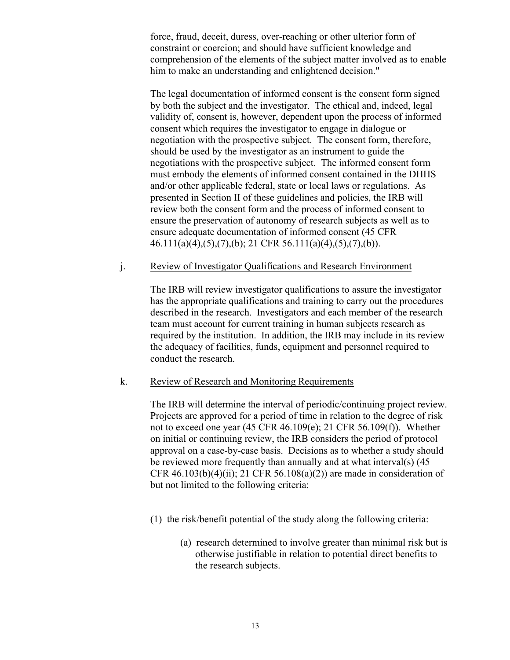force, fraud, deceit, duress, over-reaching or other ulterior form of constraint or coercion; and should have sufficient knowledge and comprehension of the elements of the subject matter involved as to enable him to make an understanding and enlightened decision."

The legal documentation of informed consent is the consent form signed by both the subject and the investigator. The ethical and, indeed, legal validity of, consent is, however, dependent upon the process of informed consent which requires the investigator to engage in dialogue or negotiation with the prospective subject. The consent form, therefore, should be used by the investigator as an instrument to guide the negotiations with the prospective subject. The informed consent form must embody the elements of informed consent contained in the DHHS and/or other applicable federal, state or local laws or regulations. As presented in Section II of these guidelines and policies, the IRB will review both the consent form and the process of informed consent to ensure the preservation of autonomy of research subjects as well as to ensure adequate documentation of informed consent (45 CFR 46.111(a)(4),(5),(7),(b); 21 CFR 56.111(a)(4),(5),(7),(b)).

#### j. Review of Investigator Qualifications and Research Environment

The IRB will review investigator qualifications to assure the investigator has the appropriate qualifications and training to carry out the procedures described in the research. Investigators and each member of the research team must account for current training in human subjects research as required by the institution. In addition, the IRB may include in its review the adequacy of facilities, funds, equipment and personnel required to conduct the research.

#### k. Review of Research and Monitoring Requirements

The IRB will determine the interval of periodic/continuing project review. Projects are approved for a period of time in relation to the degree of risk not to exceed one year (45 CFR 46.109(e); 21 CFR 56.109(f)). Whether on initial or continuing review, the IRB considers the period of protocol approval on a case-by-case basis. Decisions as to whether a study should be reviewed more frequently than annually and at what interval(s) (45 CFR  $46.103(b)(4)(ii)$ ; 21 CFR  $56.108(a)(2)$  are made in consideration of but not limited to the following criteria:

- (1) the risk/benefit potential of the study along the following criteria:
	- (a) research determined to involve greater than minimal risk but is otherwise justifiable in relation to potential direct benefits to the research subjects.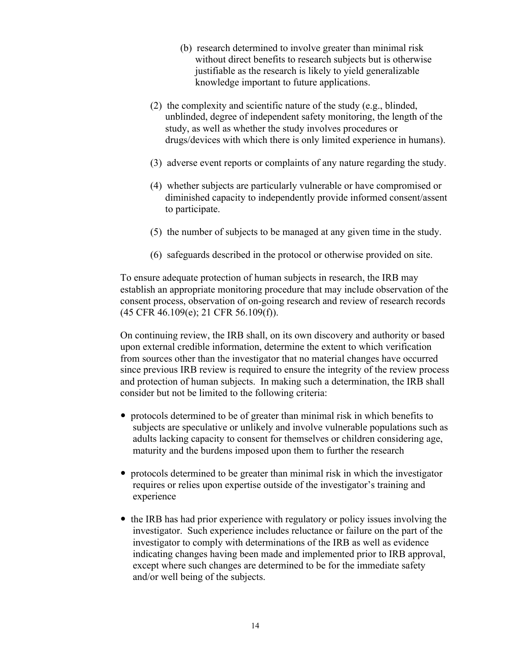- (b) research determined to involve greater than minimal risk without direct benefits to research subjects but is otherwise justifiable as the research is likely to yield generalizable knowledge important to future applications.
- (2) the complexity and scientific nature of the study (e.g., blinded, unblinded, degree of independent safety monitoring, the length of the study, as well as whether the study involves procedures or drugs/devices with which there is only limited experience in humans).
- (3) adverse event reports or complaints of any nature regarding the study.
- (4) whether subjects are particularly vulnerable or have compromised or diminished capacity to independently provide informed consent/assent to participate.
- (5) the number of subjects to be managed at any given time in the study.
- (6) safeguards described in the protocol or otherwise provided on site.

To ensure adequate protection of human subjects in research, the IRB may establish an appropriate monitoring procedure that may include observation of the consent process, observation of on-going research and review of research records (45 CFR 46.109(e); 21 CFR 56.109(f)).

On continuing review, the IRB shall, on its own discovery and authority or based upon external credible information, determine the extent to which verification from sources other than the investigator that no material changes have occurred since previous IRB review is required to ensure the integrity of the review process and protection of human subjects. In making such a determination, the IRB shall consider but not be limited to the following criteria:

- ! protocols determined to be of greater than minimal risk in which benefits to subjects are speculative or unlikely and involve vulnerable populations such as adults lacking capacity to consent for themselves or children considering age, maturity and the burdens imposed upon them to further the research
- ! protocols determined to be greater than minimal risk in which the investigator requires or relies upon expertise outside of the investigator's training and experience
- ! the IRB has had prior experience with regulatory or policy issues involving the investigator. Such experience includes reluctance or failure on the part of the investigator to comply with determinations of the IRB as well as evidence indicating changes having been made and implemented prior to IRB approval, except where such changes are determined to be for the immediate safety and/or well being of the subjects.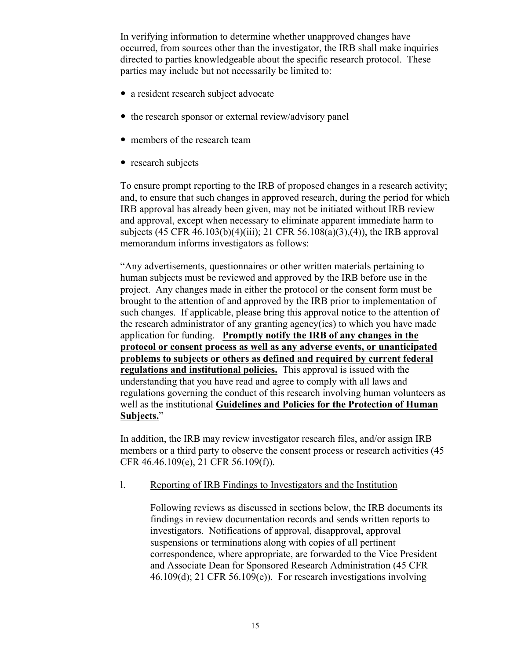In verifying information to determine whether unapproved changes have occurred, from sources other than the investigator, the IRB shall make inquiries directed to parties knowledgeable about the specific research protocol. These parties may include but not necessarily be limited to:

- a resident research subject advocate
- the research sponsor or external review/advisory panel
- members of the research team
- research subjects

To ensure prompt reporting to the IRB of proposed changes in a research activity; and, to ensure that such changes in approved research, during the period for which IRB approval has already been given, may not be initiated without IRB review and approval, except when necessary to eliminate apparent immediate harm to subjects (45 CFR 46.103(b)(4)(iii); 21 CFR 56.108(a)(3),(4)), the IRB approval memorandum informs investigators as follows:

"Any advertisements, questionnaires or other written materials pertaining to human subjects must be reviewed and approved by the IRB before use in the project. Any changes made in either the protocol or the consent form must be brought to the attention of and approved by the IRB prior to implementation of such changes. If applicable, please bring this approval notice to the attention of the research administrator of any granting agency(ies) to which you have made application for funding. **Promptly notify the IRB of any changes in the protocol or consent process as well as any adverse events, or unanticipated problems to subjects or others as defined and required by current federal regulations and institutional policies.** This approval is issued with the understanding that you have read and agree to comply with all laws and regulations governing the conduct of this research involving human volunteers as well as the institutional **Guidelines and Policies for the Protection of Human Subjects.**"

In addition, the IRB may review investigator research files, and/or assign IRB members or a third party to observe the consent process or research activities (45 CFR 46.46.109(e), 21 CFR 56.109(f)).

l. Reporting of IRB Findings to Investigators and the Institution

Following reviews as discussed in sections below, the IRB documents its findings in review documentation records and sends written reports to investigators. Notifications of approval, disapproval, approval suspensions or terminations along with copies of all pertinent correspondence, where appropriate, are forwarded to the Vice President and Associate Dean for Sponsored Research Administration (45 CFR 46.109(d); 21 CFR 56.109(e)). For research investigations involving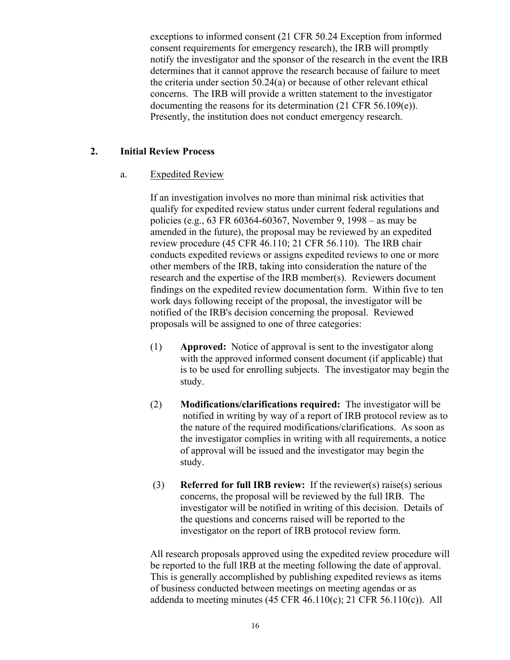exceptions to informed consent (21 CFR 50.24 Exception from informed consent requirements for emergency research), the IRB will promptly notify the investigator and the sponsor of the research in the event the IRB determines that it cannot approve the research because of failure to meet the criteria under section 50.24(a) or because of other relevant ethical concerns. The IRB will provide a written statement to the investigator documenting the reasons for its determination (21 CFR 56.109(e)). Presently, the institution does not conduct emergency research.

## **2. Initial Review Process**

## a. Expedited Review

If an investigation involves no more than minimal risk activities that qualify for expedited review status under current federal regulations and policies (e.g., 63 FR 60364-60367, November 9, 1998 – as may be amended in the future), the proposal may be reviewed by an expedited review procedure (45 CFR 46.110; 21 CFR 56.110). The IRB chair conducts expedited reviews or assigns expedited reviews to one or more other members of the IRB, taking into consideration the nature of the research and the expertise of the IRB member(s). Reviewers document findings on the expedited review documentation form. Within five to ten work days following receipt of the proposal, the investigator will be notified of the IRB's decision concerning the proposal. Reviewed proposals will be assigned to one of three categories:

- (1) **Approved:** Notice of approval is sent to the investigator along with the approved informed consent document (if applicable) that is to be used for enrolling subjects. The investigator may begin the study.
- (2) **Modifications/clarifications required:** The investigator will be notified in writing by way of a report of IRB protocol review as to the nature of the required modifications/clarifications. As soon as the investigator complies in writing with all requirements, a notice of approval will be issued and the investigator may begin the study.
- (3) **Referred for full IRB review:** If the reviewer(s) raise(s) serious concerns, the proposal will be reviewed by the full IRB. The investigator will be notified in writing of this decision. Details of the questions and concerns raised will be reported to the investigator on the report of IRB protocol review form.

All research proposals approved using the expedited review procedure will be reported to the full IRB at the meeting following the date of approval. This is generally accomplished by publishing expedited reviews as items of business conducted between meetings on meeting agendas or as addenda to meeting minutes (45 CFR 46.110(c); 21 CFR 56.110(c)). All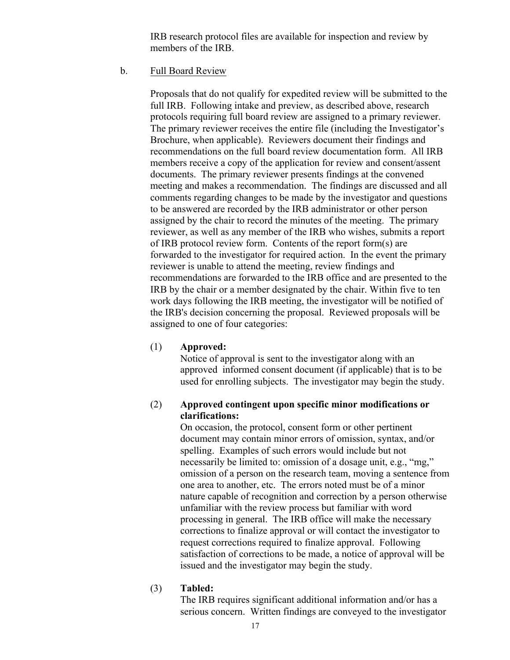IRB research protocol files are available for inspection and review by members of the IRB.

b. Full Board Review

Proposals that do not qualify for expedited review will be submitted to the full IRB. Following intake and preview, as described above, research protocols requiring full board review are assigned to a primary reviewer. The primary reviewer receives the entire file (including the Investigator's Brochure, when applicable). Reviewers document their findings and recommendations on the full board review documentation form. All IRB members receive a copy of the application for review and consent/assent documents. The primary reviewer presents findings at the convened meeting and makes a recommendation. The findings are discussed and all comments regarding changes to be made by the investigator and questions to be answered are recorded by the IRB administrator or other person assigned by the chair to record the minutes of the meeting. The primary reviewer, as well as any member of the IRB who wishes, submits a report of IRB protocol review form. Contents of the report form(s) are forwarded to the investigator for required action. In the event the primary reviewer is unable to attend the meeting, review findings and recommendations are forwarded to the IRB office and are presented to the IRB by the chair or a member designated by the chair. Within five to ten work days following the IRB meeting, the investigator will be notified of the IRB's decision concerning the proposal. Reviewed proposals will be assigned to one of four categories:

#### (1) **Approved:**

Notice of approval is sent to the investigator along with an approved informed consent document (if applicable) that is to be used for enrolling subjects. The investigator may begin the study.

## (2) **Approved contingent upon specific minor modifications or clarifications:**

On occasion, the protocol, consent form or other pertinent document may contain minor errors of omission, syntax, and/or spelling. Examples of such errors would include but not necessarily be limited to: omission of a dosage unit, e.g., "mg," omission of a person on the research team, moving a sentence from one area to another, etc. The errors noted must be of a minor nature capable of recognition and correction by a person otherwise unfamiliar with the review process but familiar with word processing in general. The IRB office will make the necessary corrections to finalize approval or will contact the investigator to request corrections required to finalize approval. Following satisfaction of corrections to be made, a notice of approval will be issued and the investigator may begin the study.

#### (3) **Tabled:**

The IRB requires significant additional information and/or has a serious concern. Written findings are conveyed to the investigator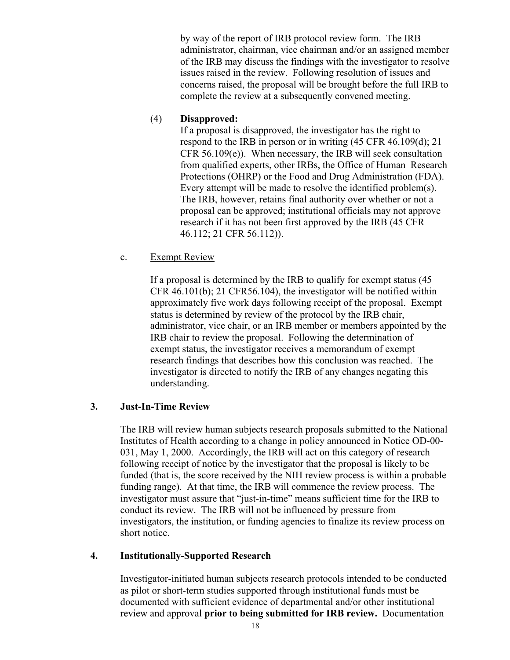by way of the report of IRB protocol review form. The IRB administrator, chairman, vice chairman and/or an assigned member of the IRB may discuss the findings with the investigator to resolve issues raised in the review. Following resolution of issues and concerns raised, the proposal will be brought before the full IRB to complete the review at a subsequently convened meeting.

# (4) **Disapproved:**

If a proposal is disapproved, the investigator has the right to respond to the IRB in person or in writing (45 CFR 46.109(d); 21 CFR 56.109(e)). When necessary, the IRB will seek consultation from qualified experts, other IRBs, the Office of Human Research Protections (OHRP) or the Food and Drug Administration (FDA). Every attempt will be made to resolve the identified problem(s). The IRB, however, retains final authority over whether or not a proposal can be approved; institutional officials may not approve research if it has not been first approved by the IRB (45 CFR 46.112; 21 CFR 56.112)).

c. Exempt Review

If a proposal is determined by the IRB to qualify for exempt status (45 CFR 46.101(b); 21 CFR56.104), the investigator will be notified within approximately five work days following receipt of the proposal. Exempt status is determined by review of the protocol by the IRB chair, administrator, vice chair, or an IRB member or members appointed by the IRB chair to review the proposal. Following the determination of exempt status, the investigator receives a memorandum of exempt research findings that describes how this conclusion was reached. The investigator is directed to notify the IRB of any changes negating this understanding.

# **3. Just-In-Time Review**

The IRB will review human subjects research proposals submitted to the National Institutes of Health according to a change in policy announced in Notice OD-00- 031, May 1, 2000. Accordingly, the IRB will act on this category of research following receipt of notice by the investigator that the proposal is likely to be funded (that is, the score received by the NIH review process is within a probable funding range). At that time, the IRB will commence the review process. The investigator must assure that "just-in-time" means sufficient time for the IRB to conduct its review. The IRB will not be influenced by pressure from investigators, the institution, or funding agencies to finalize its review process on short notice.

# **4. Institutionally-Supported Research**

Investigator-initiated human subjects research protocols intended to be conducted as pilot or short-term studies supported through institutional funds must be documented with sufficient evidence of departmental and/or other institutional review and approval **prior to being submitted for IRB review.** Documentation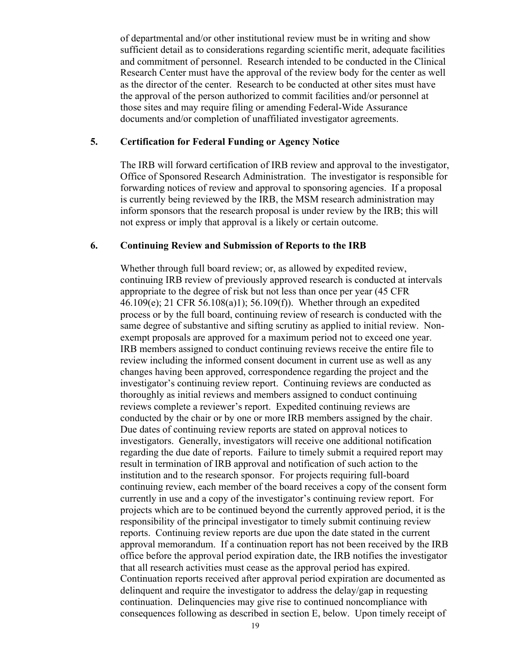of departmental and/or other institutional review must be in writing and show sufficient detail as to considerations regarding scientific merit, adequate facilities and commitment of personnel. Research intended to be conducted in the Clinical Research Center must have the approval of the review body for the center as well as the director of the center. Research to be conducted at other sites must have the approval of the person authorized to commit facilities and/or personnel at those sites and may require filing or amending Federal-Wide Assurance documents and/or completion of unaffiliated investigator agreements.

#### **5. Certification for Federal Funding or Agency Notice**

The IRB will forward certification of IRB review and approval to the investigator, Office of Sponsored Research Administration. The investigator is responsible for forwarding notices of review and approval to sponsoring agencies. If a proposal is currently being reviewed by the IRB, the MSM research administration may inform sponsors that the research proposal is under review by the IRB; this will not express or imply that approval is a likely or certain outcome.

#### **6. Continuing Review and Submission of Reports to the IRB**

Whether through full board review; or, as allowed by expedited review, continuing IRB review of previously approved research is conducted at intervals appropriate to the degree of risk but not less than once per year (45 CFR 46.109(e); 21 CFR 56.108(a)1); 56.109(f)). Whether through an expedited process or by the full board, continuing review of research is conducted with the same degree of substantive and sifting scrutiny as applied to initial review. Nonexempt proposals are approved for a maximum period not to exceed one year. IRB members assigned to conduct continuing reviews receive the entire file to review including the informed consent document in current use as well as any changes having been approved, correspondence regarding the project and the investigator's continuing review report. Continuing reviews are conducted as thoroughly as initial reviews and members assigned to conduct continuing reviews complete a reviewer's report. Expedited continuing reviews are conducted by the chair or by one or more IRB members assigned by the chair. Due dates of continuing review reports are stated on approval notices to investigators. Generally, investigators will receive one additional notification regarding the due date of reports. Failure to timely submit a required report may result in termination of IRB approval and notification of such action to the institution and to the research sponsor. For projects requiring full-board continuing review, each member of the board receives a copy of the consent form currently in use and a copy of the investigator's continuing review report. For projects which are to be continued beyond the currently approved period, it is the responsibility of the principal investigator to timely submit continuing review reports. Continuing review reports are due upon the date stated in the current approval memorandum. If a continuation report has not been received by the IRB office before the approval period expiration date, the IRB notifies the investigator that all research activities must cease as the approval period has expired. Continuation reports received after approval period expiration are documented as delinquent and require the investigator to address the delay/gap in requesting continuation. Delinquencies may give rise to continued noncompliance with consequences following as described in section E, below. Upon timely receipt of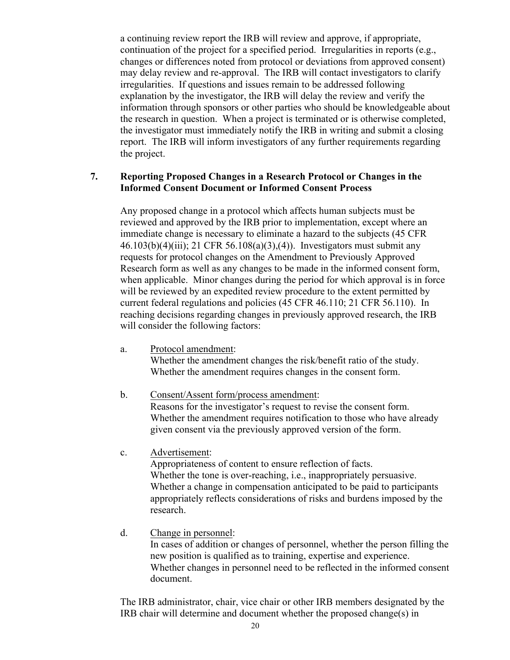a continuing review report the IRB will review and approve, if appropriate, continuation of the project for a specified period. Irregularities in reports (e.g., changes or differences noted from protocol or deviations from approved consent) may delay review and re-approval. The IRB will contact investigators to clarify irregularities. If questions and issues remain to be addressed following explanation by the investigator, the IRB will delay the review and verify the information through sponsors or other parties who should be knowledgeable about the research in question. When a project is terminated or is otherwise completed, the investigator must immediately notify the IRB in writing and submit a closing report. The IRB will inform investigators of any further requirements regarding the project.

### **7. Reporting Proposed Changes in a Research Protocol or Changes in the Informed Consent Document or Informed Consent Process**

Any proposed change in a protocol which affects human subjects must be reviewed and approved by the IRB prior to implementation, except where an immediate change is necessary to eliminate a hazard to the subjects (45 CFR 46.103(b)(4)(iii); 21 CFR 56.108(a)(3),(4)). Investigators must submit any requests for protocol changes on the Amendment to Previously Approved Research form as well as any changes to be made in the informed consent form, when applicable. Minor changes during the period for which approval is in force will be reviewed by an expedited review procedure to the extent permitted by current federal regulations and policies (45 CFR 46.110; 21 CFR 56.110). In reaching decisions regarding changes in previously approved research, the IRB will consider the following factors:

- a. Protocol amendment: Whether the amendment changes the risk/benefit ratio of the study. Whether the amendment requires changes in the consent form.
- b. Consent/Assent form/process amendment: Reasons for the investigator's request to revise the consent form. Whether the amendment requires notification to those who have already given consent via the previously approved version of the form.
- c. Advertisement:

Appropriateness of content to ensure reflection of facts. Whether the tone is over-reaching, i.e., inappropriately persuasive. Whether a change in compensation anticipated to be paid to participants appropriately reflects considerations of risks and burdens imposed by the research.

d. Change in personnel:

In cases of addition or changes of personnel, whether the person filling the new position is qualified as to training, expertise and experience. Whether changes in personnel need to be reflected in the informed consent document.

The IRB administrator, chair, vice chair or other IRB members designated by the IRB chair will determine and document whether the proposed change(s) in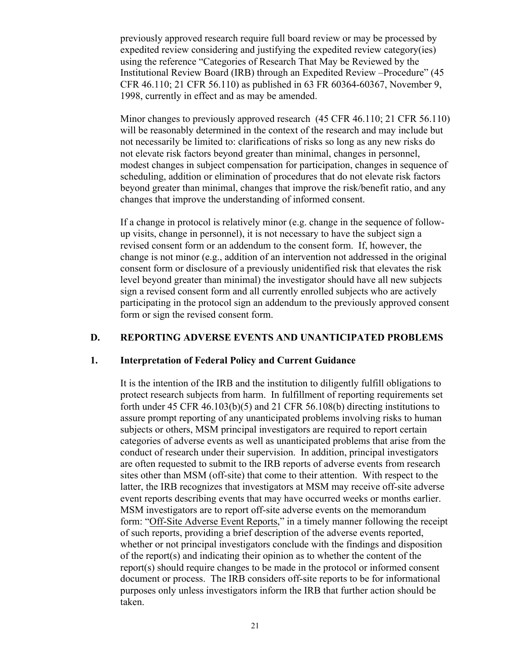previously approved research require full board review or may be processed by expedited review considering and justifying the expedited review category(ies) using the reference "Categories of Research That May be Reviewed by the Institutional Review Board (IRB) through an Expedited Review –Procedure" (45 CFR 46.110; 21 CFR 56.110) as published in 63 FR 60364-60367, November 9, 1998, currently in effect and as may be amended.

Minor changes to previously approved research (45 CFR 46.110; 21 CFR 56.110) will be reasonably determined in the context of the research and may include but not necessarily be limited to: clarifications of risks so long as any new risks do not elevate risk factors beyond greater than minimal, changes in personnel, modest changes in subject compensation for participation, changes in sequence of scheduling, addition or elimination of procedures that do not elevate risk factors beyond greater than minimal, changes that improve the risk/benefit ratio, and any changes that improve the understanding of informed consent.

If a change in protocol is relatively minor (e.g. change in the sequence of followup visits, change in personnel), it is not necessary to have the subject sign a revised consent form or an addendum to the consent form. If, however, the change is not minor (e.g., addition of an intervention not addressed in the original consent form or disclosure of a previously unidentified risk that elevates the risk level beyond greater than minimal) the investigator should have all new subjects sign a revised consent form and all currently enrolled subjects who are actively participating in the protocol sign an addendum to the previously approved consent form or sign the revised consent form.

#### **D. REPORTING ADVERSE EVENTS AND UNANTICIPATED PROBLEMS**

#### **1. Interpretation of Federal Policy and Current Guidance**

It is the intention of the IRB and the institution to diligently fulfill obligations to protect research subjects from harm. In fulfillment of reporting requirements set forth under 45 CFR 46.103(b)(5) and 21 CFR 56.108(b) directing institutions to assure prompt reporting of any unanticipated problems involving risks to human subjects or others, MSM principal investigators are required to report certain categories of adverse events as well as unanticipated problems that arise from the conduct of research under their supervision. In addition, principal investigators are often requested to submit to the IRB reports of adverse events from research sites other than MSM (off-site) that come to their attention. With respect to the latter, the IRB recognizes that investigators at MSM may receive off-site adverse event reports describing events that may have occurred weeks or months earlier. MSM investigators are to report off-site adverse events on the memorandum form: "Off-Site Adverse Event Reports," in a timely manner following the receipt of such reports, providing a brief description of the adverse events reported, whether or not principal investigators conclude with the findings and disposition of the report(s) and indicating their opinion as to whether the content of the report(s) should require changes to be made in the protocol or informed consent document or process. The IRB considers off-site reports to be for informational purposes only unless investigators inform the IRB that further action should be taken.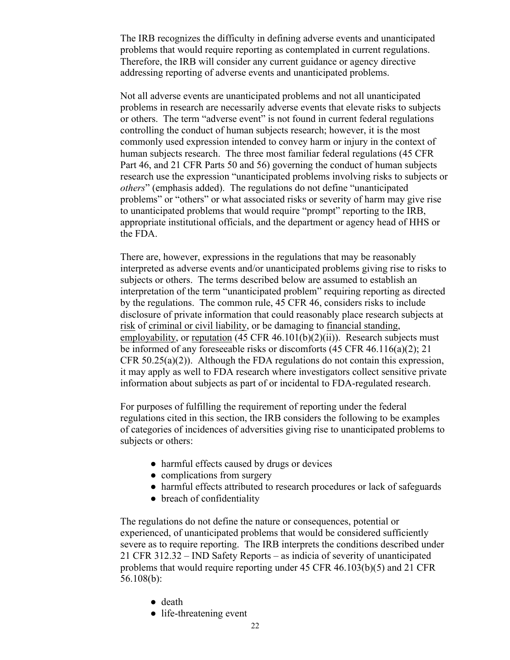The IRB recognizes the difficulty in defining adverse events and unanticipated problems that would require reporting as contemplated in current regulations. Therefore, the IRB will consider any current guidance or agency directive addressing reporting of adverse events and unanticipated problems.

Not all adverse events are unanticipated problems and not all unanticipated problems in research are necessarily adverse events that elevate risks to subjects or others. The term "adverse event" is not found in current federal regulations controlling the conduct of human subjects research; however, it is the most commonly used expression intended to convey harm or injury in the context of human subjects research. The three most familiar federal regulations (45 CFR Part 46, and 21 CFR Parts 50 and 56) governing the conduct of human subjects research use the expression "unanticipated problems involving risks to subjects or *others*" (emphasis added). The regulations do not define "unanticipated problems" or "others" or what associated risks or severity of harm may give rise to unanticipated problems that would require "prompt" reporting to the IRB, appropriate institutional officials, and the department or agency head of HHS or the FDA.

There are, however, expressions in the regulations that may be reasonably interpreted as adverse events and/or unanticipated problems giving rise to risks to subjects or others. The terms described below are assumed to establish an interpretation of the term "unanticipated problem" requiring reporting as directed by the regulations. The common rule, 45 CFR 46, considers risks to include disclosure of private information that could reasonably place research subjects at risk of criminal or civil liability, or be damaging to financial standing, employability, or reputation  $(45 \text{ CFR } 46.101(b)(2)(ii))$ . Research subjects must be informed of any foreseeable risks or discomforts (45 CFR 46.116(a)(2); 21 CFR  $50.25(a)(2)$ ). Although the FDA regulations do not contain this expression, it may apply as well to FDA research where investigators collect sensitive private information about subjects as part of or incidental to FDA-regulated research.

For purposes of fulfilling the requirement of reporting under the federal regulations cited in this section, the IRB considers the following to be examples of categories of incidences of adversities giving rise to unanticipated problems to subjects or others:

- harmful effects caused by drugs or devices
- complications from surgery
- harmful effects attributed to research procedures or lack of safeguards
- breach of confidentiality

The regulations do not define the nature or consequences, potential or experienced, of unanticipated problems that would be considered sufficiently severe as to require reporting. The IRB interprets the conditions described under 21 CFR 312.32 – IND Safety Reports – as indicia of severity of unanticipated problems that would require reporting under 45 CFR 46.103(b)(5) and 21 CFR 56.108(b):

- death
- life-threatening event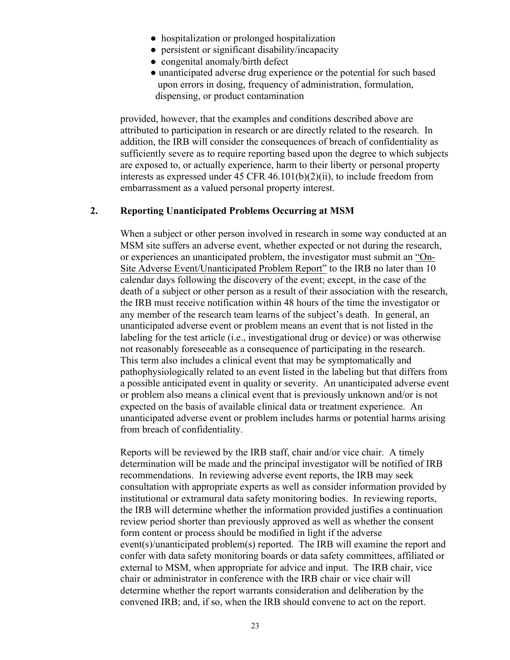- hospitalization or prolonged hospitalization
- persistent or significant disability/incapacity
- congenital anomaly/birth defect
- unanticipated adverse drug experience or the potential for such based upon errors in dosing, frequency of administration, formulation, dispensing, or product contamination

provided, however, that the examples and conditions described above are attributed to participation in research or are directly related to the research. In addition, the IRB will consider the consequences of breach of confidentiality as sufficiently severe as to require reporting based upon the degree to which subjects are exposed to, or actually experience, harm to their liberty or personal property interests as expressed under  $45$  CFR  $46.101(b)(2)(ii)$ , to include freedom from embarrassment as a valued personal property interest.

#### **2. Reporting Unanticipated Problems Occurring at MSM**

When a subject or other person involved in research in some way conducted at an MSM site suffers an adverse event, whether expected or not during the research, or experiences an unanticipated problem, the investigator must submit an "On-Site Adverse Event/Unanticipated Problem Report" to the IRB no later than 10 calendar days following the discovery of the event; except, in the case of the death of a subject or other person as a result of their association with the research, the IRB must receive notification within 48 hours of the time the investigator or any member of the research team learns of the subject's death. In general, an unanticipated adverse event or problem means an event that is not listed in the labeling for the test article (i.e., investigational drug or device) or was otherwise not reasonably foreseeable as a consequence of participating in the research. This term also includes a clinical event that may be symptomatically and pathophysiologically related to an event listed in the labeling but that differs from a possible anticipated event in quality or severity. An unanticipated adverse event or problem also means a clinical event that is previously unknown and/or is not expected on the basis of available clinical data or treatment experience. An unanticipated adverse event or problem includes harms or potential harms arising from breach of confidentiality.

Reports will be reviewed by the IRB staff, chair and/or vice chair. A timely determination will be made and the principal investigator will be notified of IRB recommendations. In reviewing adverse event reports, the IRB may seek consultation with appropriate experts as well as consider information provided by institutional or extramural data safety monitoring bodies. In reviewing reports, the IRB will determine whether the information provided justifies a continuation review period shorter than previously approved as well as whether the consent form content or process should be modified in light if the adverse event(s)/unanticipated problem(s) reported. The IRB will examine the report and confer with data safety monitoring boards or data safety committees, affiliated or external to MSM, when appropriate for advice and input. The IRB chair, vice chair or administrator in conference with the IRB chair or vice chair will determine whether the report warrants consideration and deliberation by the convened IRB; and, if so, when the IRB should convene to act on the report.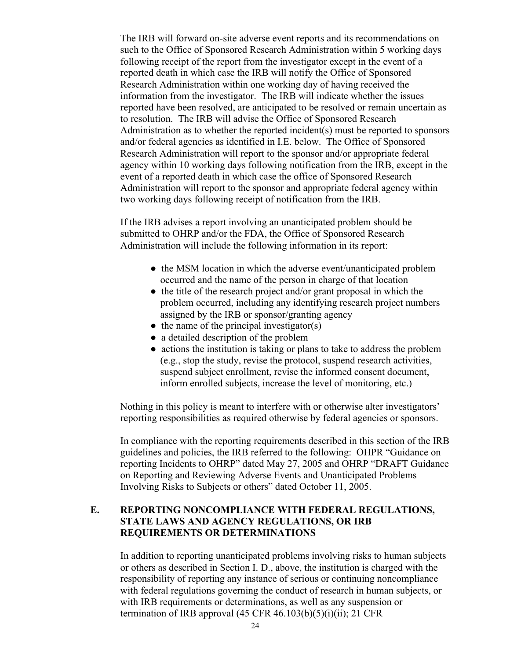The IRB will forward on-site adverse event reports and its recommendations on such to the Office of Sponsored Research Administration within 5 working days following receipt of the report from the investigator except in the event of a reported death in which case the IRB will notify the Office of Sponsored Research Administration within one working day of having received the information from the investigator. The IRB will indicate whether the issues reported have been resolved, are anticipated to be resolved or remain uncertain as to resolution. The IRB will advise the Office of Sponsored Research Administration as to whether the reported incident(s) must be reported to sponsors and/or federal agencies as identified in I.E. below. The Office of Sponsored Research Administration will report to the sponsor and/or appropriate federal agency within 10 working days following notification from the IRB, except in the event of a reported death in which case the office of Sponsored Research Administration will report to the sponsor and appropriate federal agency within two working days following receipt of notification from the IRB.

If the IRB advises a report involving an unanticipated problem should be submitted to OHRP and/or the FDA, the Office of Sponsored Research Administration will include the following information in its report:

- the MSM location in which the adverse event/unanticipated problem occurred and the name of the person in charge of that location
- the title of the research project and/or grant proposal in which the problem occurred, including any identifying research project numbers assigned by the IRB or sponsor/granting agency
- $\bullet$  the name of the principal investigator(s)
- a detailed description of the problem
- actions the institution is taking or plans to take to address the problem (e.g., stop the study, revise the protocol, suspend research activities, suspend subject enrollment, revise the informed consent document, inform enrolled subjects, increase the level of monitoring, etc.)

Nothing in this policy is meant to interfere with or otherwise alter investigators' reporting responsibilities as required otherwise by federal agencies or sponsors.

In compliance with the reporting requirements described in this section of the IRB guidelines and policies, the IRB referred to the following: OHPR "Guidance on reporting Incidents to OHRP" dated May 27, 2005 and OHRP "DRAFT Guidance on Reporting and Reviewing Adverse Events and Unanticipated Problems Involving Risks to Subjects or others" dated October 11, 2005.

## **E. REPORTING NONCOMPLIANCE WITH FEDERAL REGULATIONS, STATE LAWS AND AGENCY REGULATIONS, OR IRB REQUIREMENTS OR DETERMINATIONS**

In addition to reporting unanticipated problems involving risks to human subjects or others as described in Section I. D., above, the institution is charged with the responsibility of reporting any instance of serious or continuing noncompliance with federal regulations governing the conduct of research in human subjects, or with IRB requirements or determinations, as well as any suspension or termination of IRB approval  $(45 \text{ CFR } 46.103(b)(5)(i)(ii))$ ; 21 CFR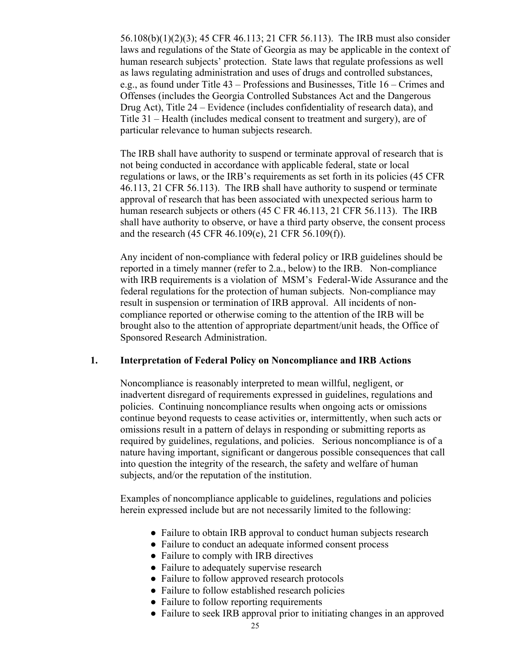56.108(b)(1)(2)(3); 45 CFR 46.113; 21 CFR 56.113). The IRB must also consider laws and regulations of the State of Georgia as may be applicable in the context of human research subjects' protection. State laws that regulate professions as well as laws regulating administration and uses of drugs and controlled substances, e.g., as found under Title 43 – Professions and Businesses, Title 16 – Crimes and Offenses (includes the Georgia Controlled Substances Act and the Dangerous Drug Act), Title 24 – Evidence (includes confidentiality of research data), and Title 31 – Health (includes medical consent to treatment and surgery), are of particular relevance to human subjects research.

The IRB shall have authority to suspend or terminate approval of research that is not being conducted in accordance with applicable federal, state or local regulations or laws, or the IRB's requirements as set forth in its policies (45 CFR 46.113, 21 CFR 56.113). The IRB shall have authority to suspend or terminate approval of research that has been associated with unexpected serious harm to human research subjects or others (45 C FR 46.113, 21 CFR 56.113). The IRB shall have authority to observe, or have a third party observe, the consent process and the research (45 CFR 46.109(e), 21 CFR 56.109(f)).

Any incident of non-compliance with federal policy or IRB guidelines should be reported in a timely manner (refer to 2.a., below) to the IRB. Non-compliance with IRB requirements is a violation of MSM's Federal-Wide Assurance and the federal regulations for the protection of human subjects. Non-compliance may result in suspension or termination of IRB approval. All incidents of noncompliance reported or otherwise coming to the attention of the IRB will be brought also to the attention of appropriate department/unit heads, the Office of Sponsored Research Administration.

#### **1. Interpretation of Federal Policy on Noncompliance and IRB Actions**

Noncompliance is reasonably interpreted to mean willful, negligent, or inadvertent disregard of requirements expressed in guidelines, regulations and policies. Continuing noncompliance results when ongoing acts or omissions continue beyond requests to cease activities or, intermittently, when such acts or omissions result in a pattern of delays in responding or submitting reports as required by guidelines, regulations, and policies. Serious noncompliance is of a nature having important, significant or dangerous possible consequences that call into question the integrity of the research, the safety and welfare of human subjects, and/or the reputation of the institution.

Examples of noncompliance applicable to guidelines, regulations and policies herein expressed include but are not necessarily limited to the following:

- Failure to obtain IRB approval to conduct human subjects research
- Failure to conduct an adequate informed consent process
- Failure to comply with IRB directives
- Failure to adequately supervise research
- Failure to follow approved research protocols
- Failure to follow established research policies
- Failure to follow reporting requirements
- Failure to seek IRB approval prior to initiating changes in an approved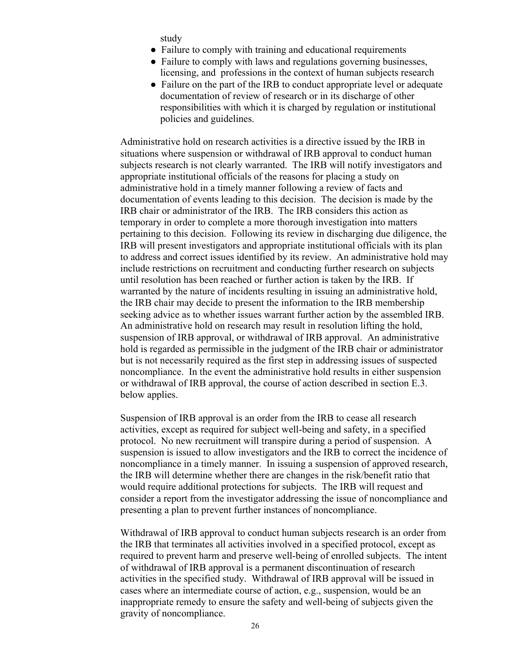study

- Failure to comply with training and educational requirements
- Failure to comply with laws and regulations governing businesses, licensing, and professions in the context of human subjects research
- Failure on the part of the IRB to conduct appropriate level or adequate documentation of review of research or in its discharge of other responsibilities with which it is charged by regulation or institutional policies and guidelines.

Administrative hold on research activities is a directive issued by the IRB in situations where suspension or withdrawal of IRB approval to conduct human subjects research is not clearly warranted. The IRB will notify investigators and appropriate institutional officials of the reasons for placing a study on administrative hold in a timely manner following a review of facts and documentation of events leading to this decision. The decision is made by the IRB chair or administrator of the IRB. The IRB considers this action as temporary in order to complete a more thorough investigation into matters pertaining to this decision. Following its review in discharging due diligence, the IRB will present investigators and appropriate institutional officials with its plan to address and correct issues identified by its review. An administrative hold may include restrictions on recruitment and conducting further research on subjects until resolution has been reached or further action is taken by the IRB. If warranted by the nature of incidents resulting in issuing an administrative hold, the IRB chair may decide to present the information to the IRB membership seeking advice as to whether issues warrant further action by the assembled IRB. An administrative hold on research may result in resolution lifting the hold, suspension of IRB approval, or withdrawal of IRB approval. An administrative hold is regarded as permissible in the judgment of the IRB chair or administrator but is not necessarily required as the first step in addressing issues of suspected noncompliance. In the event the administrative hold results in either suspension or withdrawal of IRB approval, the course of action described in section E.3. below applies.

Suspension of IRB approval is an order from the IRB to cease all research activities, except as required for subject well-being and safety, in a specified protocol. No new recruitment will transpire during a period of suspension. A suspension is issued to allow investigators and the IRB to correct the incidence of noncompliance in a timely manner. In issuing a suspension of approved research, the IRB will determine whether there are changes in the risk/benefit ratio that would require additional protections for subjects. The IRB will request and consider a report from the investigator addressing the issue of noncompliance and presenting a plan to prevent further instances of noncompliance.

Withdrawal of IRB approval to conduct human subjects research is an order from the IRB that terminates all activities involved in a specified protocol, except as required to prevent harm and preserve well-being of enrolled subjects. The intent of withdrawal of IRB approval is a permanent discontinuation of research activities in the specified study. Withdrawal of IRB approval will be issued in cases where an intermediate course of action, e.g., suspension, would be an inappropriate remedy to ensure the safety and well-being of subjects given the gravity of noncompliance.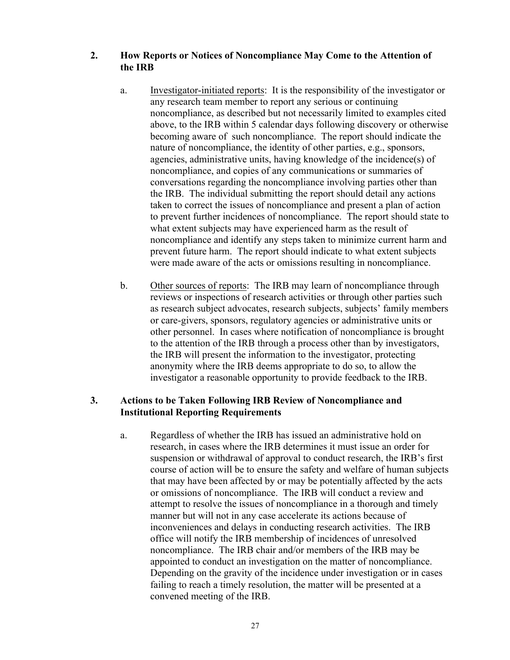## **2. How Reports or Notices of Noncompliance May Come to the Attention of the IRB**

- a. Investigator-initiated reports: It is the responsibility of the investigator or any research team member to report any serious or continuing noncompliance, as described but not necessarily limited to examples cited above, to the IRB within 5 calendar days following discovery or otherwise becoming aware of such noncompliance. The report should indicate the nature of noncompliance, the identity of other parties, e.g., sponsors, agencies, administrative units, having knowledge of the incidence(s) of noncompliance, and copies of any communications or summaries of conversations regarding the noncompliance involving parties other than the IRB. The individual submitting the report should detail any actions taken to correct the issues of noncompliance and present a plan of action to prevent further incidences of noncompliance. The report should state to what extent subjects may have experienced harm as the result of noncompliance and identify any steps taken to minimize current harm and prevent future harm. The report should indicate to what extent subjects were made aware of the acts or omissions resulting in noncompliance.
- b. Other sources of reports: The IRB may learn of noncompliance through reviews or inspections of research activities or through other parties such as research subject advocates, research subjects, subjects' family members or care-givers, sponsors, regulatory agencies or administrative units or other personnel. In cases where notification of noncompliance is brought to the attention of the IRB through a process other than by investigators, the IRB will present the information to the investigator, protecting anonymity where the IRB deems appropriate to do so, to allow the investigator a reasonable opportunity to provide feedback to the IRB.

# **3. Actions to be Taken Following IRB Review of Noncompliance and Institutional Reporting Requirements**

a. Regardless of whether the IRB has issued an administrative hold on research, in cases where the IRB determines it must issue an order for suspension or withdrawal of approval to conduct research, the IRB's first course of action will be to ensure the safety and welfare of human subjects that may have been affected by or may be potentially affected by the acts or omissions of noncompliance. The IRB will conduct a review and attempt to resolve the issues of noncompliance in a thorough and timely manner but will not in any case accelerate its actions because of inconveniences and delays in conducting research activities. The IRB office will notify the IRB membership of incidences of unresolved noncompliance. The IRB chair and/or members of the IRB may be appointed to conduct an investigation on the matter of noncompliance. Depending on the gravity of the incidence under investigation or in cases failing to reach a timely resolution, the matter will be presented at a convened meeting of the IRB.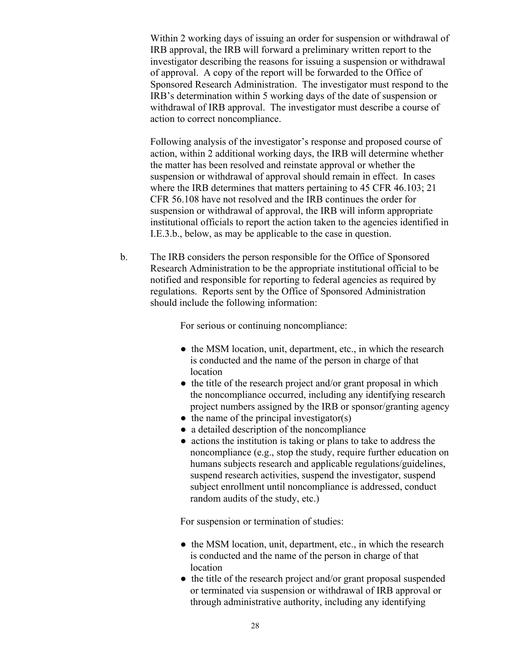Within 2 working days of issuing an order for suspension or withdrawal of IRB approval, the IRB will forward a preliminary written report to the investigator describing the reasons for issuing a suspension or withdrawal of approval. A copy of the report will be forwarded to the Office of Sponsored Research Administration. The investigator must respond to the IRB's determination within 5 working days of the date of suspension or withdrawal of IRB approval. The investigator must describe a course of action to correct noncompliance.

Following analysis of the investigator's response and proposed course of action, within 2 additional working days, the IRB will determine whether the matter has been resolved and reinstate approval or whether the suspension or withdrawal of approval should remain in effect. In cases where the IRB determines that matters pertaining to 45 CFR 46.103; 21 CFR 56.108 have not resolved and the IRB continues the order for suspension or withdrawal of approval, the IRB will inform appropriate institutional officials to report the action taken to the agencies identified in I.E.3.b., below, as may be applicable to the case in question.

b. The IRB considers the person responsible for the Office of Sponsored Research Administration to be the appropriate institutional official to be notified and responsible for reporting to federal agencies as required by regulations. Reports sent by the Office of Sponsored Administration should include the following information:

For serious or continuing noncompliance:

- the MSM location, unit, department, etc., in which the research is conducted and the name of the person in charge of that location
- the title of the research project and/or grant proposal in which the noncompliance occurred, including any identifying research project numbers assigned by the IRB or sponsor/granting agency
- $\bullet$  the name of the principal investigator(s)
- a detailed description of the noncompliance
- actions the institution is taking or plans to take to address the noncompliance (e.g., stop the study, require further education on humans subjects research and applicable regulations/guidelines, suspend research activities, suspend the investigator, suspend subject enrollment until noncompliance is addressed, conduct random audits of the study, etc.)

For suspension or termination of studies:

- the MSM location, unit, department, etc., in which the research is conducted and the name of the person in charge of that location
- the title of the research project and/or grant proposal suspended or terminated via suspension or withdrawal of IRB approval or through administrative authority, including any identifying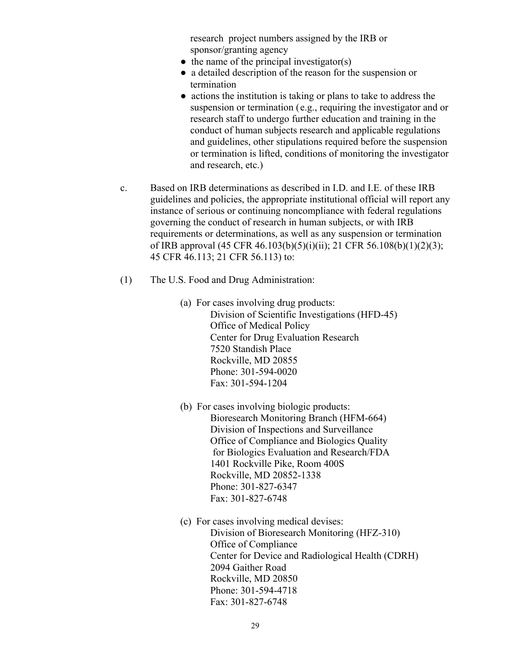research project numbers assigned by the IRB or sponsor/granting agency

- $\bullet$  the name of the principal investigator(s)
- a detailed description of the reason for the suspension or termination
- actions the institution is taking or plans to take to address the suspension or termination (e.g., requiring the investigator and or research staff to undergo further education and training in the conduct of human subjects research and applicable regulations and guidelines, other stipulations required before the suspension or termination is lifted, conditions of monitoring the investigator and research, etc.)
- c. Based on IRB determinations as described in I.D. and I.E. of these IRB guidelines and policies, the appropriate institutional official will report any instance of serious or continuing noncompliance with federal regulations governing the conduct of research in human subjects, or with IRB requirements or determinations, as well as any suspension or termination of IRB approval (45 CFR 46.103(b)(5)(i)(ii); 21 CFR 56.108(b)(1)(2)(3); 45 CFR 46.113; 21 CFR 56.113) to:
- (1) The U.S. Food and Drug Administration:
	- (a) For cases involving drug products: Division of Scientific Investigations (HFD-45) Office of Medical Policy Center for Drug Evaluation Research 7520 Standish Place Rockville, MD 20855 Phone: 301-594-0020 Fax: 301-594-1204
	- (b) For cases involving biologic products: Bioresearch Monitoring Branch (HFM-664) Division of Inspections and Surveillance Office of Compliance and Biologics Quality for Biologics Evaluation and Research/FDA 1401 Rockville Pike, Room 400S Rockville, MD 20852-1338 Phone: 301-827-6347 Fax: 301-827-6748
	- (c) For cases involving medical devises: Division of Bioresearch Monitoring (HFZ-310) Office of Compliance Center for Device and Radiological Health (CDRH) 2094 Gaither Road Rockville, MD 20850 Phone: 301-594-4718 Fax: 301-827-6748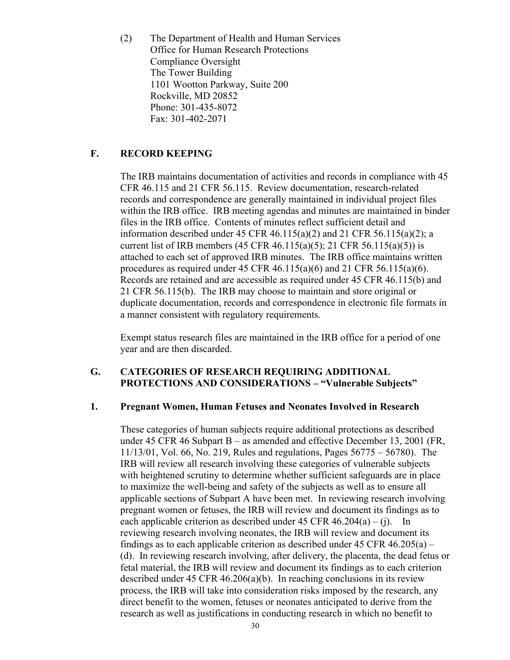(2) The Department of Health and Human Services Office for Human Research Protections Compliance Oversight The Tower Building 1101 Wootton Parkway, Suite 200 Rockville, MD 20852 Phone: 301-435-8072 Fax: 301-402-2071

# **F. RECORD KEEPING**

The IRB maintains documentation of activities and records in compliance with 45 CFR 46.115 and 21 CFR 56.115. Review documentation, research-related records and correspondence are generally maintained in individual project files within the IRB office. IRB meeting agendas and minutes are maintained in binder files in the IRB office. Contents of minutes reflect sufficient detail and information described under 45 CFR 46.115(a)(2) and 21 CFR 56.115(a)(2); a current list of IRB members (45 CFR 46.115(a)(5); 21 CFR 56.115(a)(5)) is attached to each set of approved IRB minutes. The IRB office maintains written procedures as required under 45 CFR 46.115(a)(6) and 21 CFR 56.115(a)(6). Records are retained and are accessible as required under 45 CFR 46.115(b) and 21 CFR 56.115(b). The IRB may choose to maintain and store original or duplicate documentation, records and correspondence in electronic file formats in a manner consistent with regulatory requirements.

Exempt status research files are maintained in the IRB office for a period of one year and are then discarded.

#### **G. CATEGORIES OF RESEARCH REQUIRING ADDITIONAL PROTECTIONS AND CONSIDERATIONS – "Vulnerable Subjects"**

#### **1. Pregnant Women, Human Fetuses and Neonates Involved in Research**

These categories of human subjects require additional protections as described under 45 CFR 46 Subpart B – as amended and effective December 13, 2001 (FR, 11/13/01, Vol. 66, No. 219, Rules and regulations, Pages 56775 – 56780). The IRB will review all research involving these categories of vulnerable subjects with heightened scrutiny to determine whether sufficient safeguards are in place to maximize the well-being and safety of the subjects as well as to ensure all applicable sections of Subpart A have been met. In reviewing research involving pregnant women or fetuses, the IRB will review and document its findings as to each applicable criterion as described under 45 CFR  $46.204(a) - (i)$ . In reviewing research involving neonates, the IRB will review and document its findings as to each applicable criterion as described under  $45$  CFR  $46.205(a)$  – (d). In reviewing research involving, after delivery, the placenta, the dead fetus or fetal material, the IRB will review and document its findings as to each criterion described under 45 CFR 46.206(a)(b). In reaching conclusions in its review process, the IRB will take into consideration risks imposed by the research, any direct benefit to the women, fetuses or neonates anticipated to derive from the research as well as justifications in conducting research in which no benefit to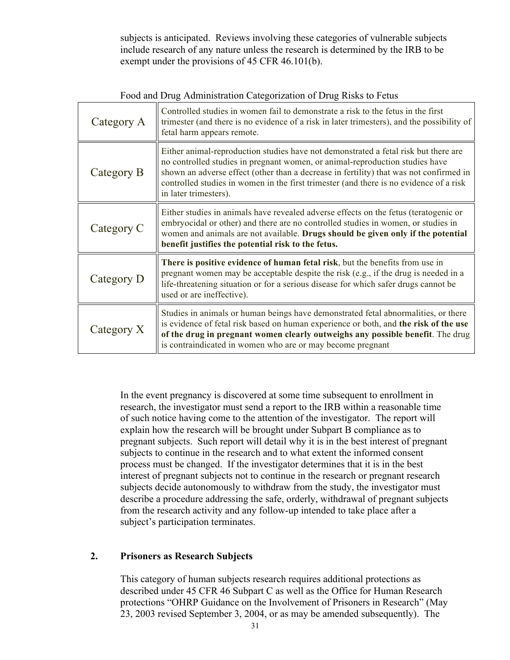subjects is anticipated. Reviews involving these categories of vulnerable subjects include research of any nature unless the research is determined by the IRB to be exempt under the provisions of 45 CFR 46.101(b).

| Category A | Controlled studies in women fail to demonstrate a risk to the fetus in the first<br>trimester (and there is no evidence of a risk in later trimesters), and the possibility of<br>fetal harm appears remote.                                                                                                                                                                     |
|------------|----------------------------------------------------------------------------------------------------------------------------------------------------------------------------------------------------------------------------------------------------------------------------------------------------------------------------------------------------------------------------------|
| Category B | Either animal-reproduction studies have not demonstrated a fetal risk but there are<br>no controlled studies in pregnant women, or animal-reproduction studies have<br>shown an adverse effect (other than a decrease in fertility) that was not confirmed in<br>controlled studies in women in the first trimester (and there is no evidence of a risk<br>in later trimesters). |
| Category C | Either studies in animals have revealed adverse effects on the fetus (teratogenic or<br>embryocidal or other) and there are no controlled studies in women, or studies in<br>women and animals are not available. Drugs should be given only if the potential<br>benefit justifies the potential risk to the fetus.                                                              |
| Category D | There is positive evidence of human fetal risk, but the benefits from use in<br>pregnant women may be acceptable despite the risk (e.g., if the drug is needed in a<br>life-threatening situation or for a serious disease for which safer drugs cannot be<br>used or are ineffective).                                                                                          |
| Category X | Studies in animals or human beings have demonstrated fetal abnormalities, or there<br>is evidence of fetal risk based on human experience or both, and the risk of the use<br>of the drug in pregnant women clearly outweighs any possible benefit. The drug<br>is contraindicated in women who are or may become pregnant                                                       |

Food and Drug Administration Categorization of Drug Risks to Fetus

In the event pregnancy is discovered at some time subsequent to enrollment in research, the investigator must send a report to the IRB within a reasonable time of such notice having come to the attention of the investigator. The report will explain how the research will be brought under Subpart B compliance as to pregnant subjects. Such report will detail why it is in the best interest of pregnant subjects to continue in the research and to what extent the informed consent process must be changed. If the investigator determines that it is in the best interest of pregnant subjects not to continue in the research or pregnant research subjects decide autonomously to withdraw from the study, the investigator must describe a procedure addressing the safe, orderly, withdrawal of pregnant subjects from the research activity and any follow-up intended to take place after a subject's participation terminates.

# **2. Prisoners as Research Subjects**

This category of human subjects research requires additional protections as described under 45 CFR 46 Subpart C as well as the Office for Human Research protections "OHRP Guidance on the Involvement of Prisoners in Research" (May 23, 2003 revised September 3, 2004, or as may be amended subsequently). The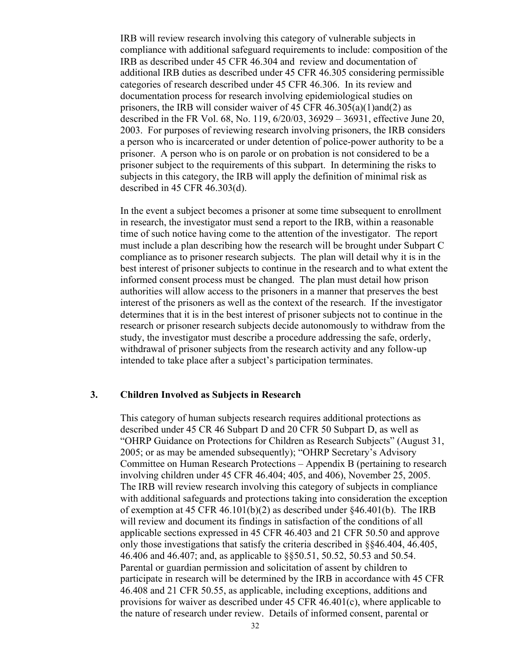IRB will review research involving this category of vulnerable subjects in compliance with additional safeguard requirements to include: composition of the IRB as described under 45 CFR 46.304 and review and documentation of additional IRB duties as described under 45 CFR 46.305 considering permissible categories of research described under 45 CFR 46.306. In its review and documentation process for research involving epidemiological studies on prisoners, the IRB will consider waiver of 45 CFR 46.305(a)(1)and(2) as described in the FR Vol. 68, No. 119, 6/20/03, 36929 – 36931, effective June 20, 2003. For purposes of reviewing research involving prisoners, the IRB considers a person who is incarcerated or under detention of police-power authority to be a prisoner. A person who is on parole or on probation is not considered to be a prisoner subject to the requirements of this subpart. In determining the risks to subjects in this category, the IRB will apply the definition of minimal risk as described in 45 CFR 46.303(d).

In the event a subject becomes a prisoner at some time subsequent to enrollment in research, the investigator must send a report to the IRB, within a reasonable time of such notice having come to the attention of the investigator. The report must include a plan describing how the research will be brought under Subpart C compliance as to prisoner research subjects. The plan will detail why it is in the best interest of prisoner subjects to continue in the research and to what extent the informed consent process must be changed. The plan must detail how prison authorities will allow access to the prisoners in a manner that preserves the best interest of the prisoners as well as the context of the research. If the investigator determines that it is in the best interest of prisoner subjects not to continue in the research or prisoner research subjects decide autonomously to withdraw from the study, the investigator must describe a procedure addressing the safe, orderly, withdrawal of prisoner subjects from the research activity and any follow-up intended to take place after a subject's participation terminates.

#### **3. Children Involved as Subjects in Research**

This category of human subjects research requires additional protections as described under 45 CR 46 Subpart D and 20 CFR 50 Subpart D, as well as "OHRP Guidance on Protections for Children as Research Subjects" (August 31, 2005; or as may be amended subsequently); "OHRP Secretary's Advisory Committee on Human Research Protections – Appendix B (pertaining to research involving children under 45 CFR 46.404; 405, and 406), November 25, 2005. The IRB will review research involving this category of subjects in compliance with additional safeguards and protections taking into consideration the exception of exemption at 45 CFR 46.101(b)(2) as described under  $\frac{646.401(b)}{2}$ . The IRB will review and document its findings in satisfaction of the conditions of all applicable sections expressed in 45 CFR 46.403 and 21 CFR 50.50 and approve only those investigations that satisfy the criteria described in §§46.404, 46.405, 46.406 and 46.407; and, as applicable to §§50.51, 50.52, 50.53 and 50.54. Parental or guardian permission and solicitation of assent by children to participate in research will be determined by the IRB in accordance with 45 CFR 46.408 and 21 CFR 50.55, as applicable, including exceptions, additions and provisions for waiver as described under 45 CFR  $46.401(c)$ , where applicable to the nature of research under review. Details of informed consent, parental or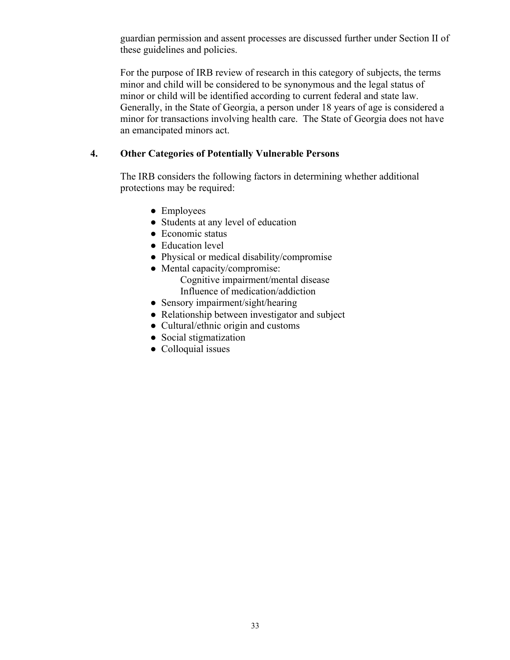guardian permission and assent processes are discussed further under Section II of these guidelines and policies.

For the purpose of IRB review of research in this category of subjects, the terms minor and child will be considered to be synonymous and the legal status of minor or child will be identified according to current federal and state law. Generally, in the State of Georgia, a person under 18 years of age is considered a minor for transactions involving health care. The State of Georgia does not have an emancipated minors act.

# **4. Other Categories of Potentially Vulnerable Persons**

The IRB considers the following factors in determining whether additional protections may be required:

- Employees
- Students at any level of education
- Economic status
- Education level
- Physical or medical disability/compromise
- Mental capacity/compromise: Cognitive impairment/mental disease Influence of medication/addiction
- Sensory impairment/sight/hearing
- Relationship between investigator and subject
- Cultural/ethnic origin and customs
- Social stigmatization
- Colloquial issues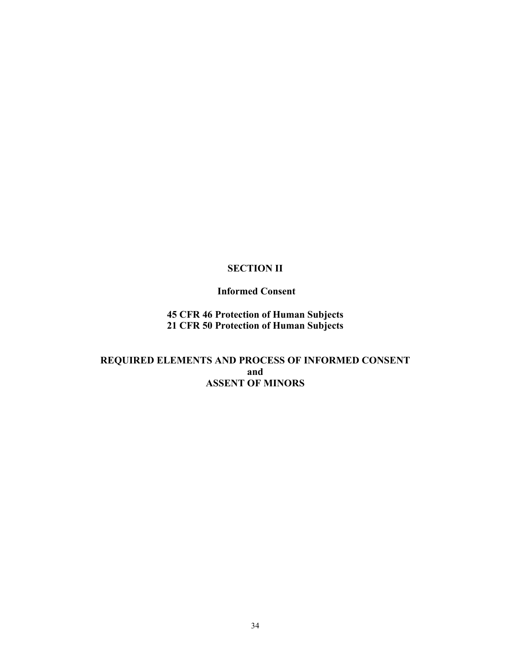# **SECTION II**

## **Informed Consent**

**45 CFR 46 Protection of Human Subjects 21 CFR 50 Protection of Human Subjects**

# **REQUIRED ELEMENTS AND PROCESS OF INFORMED CONSENT and ASSENT OF MINORS**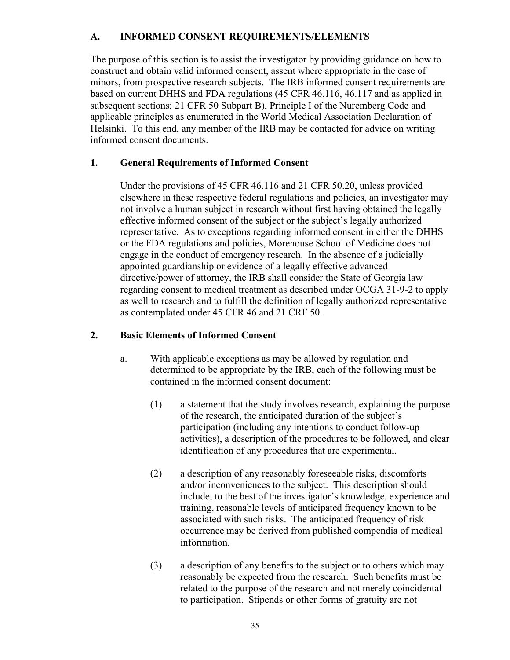# **A. INFORMED CONSENT REQUIREMENTS/ELEMENTS**

The purpose of this section is to assist the investigator by providing guidance on how to construct and obtain valid informed consent, assent where appropriate in the case of minors, from prospective research subjects. The IRB informed consent requirements are based on current DHHS and FDA regulations (45 CFR 46.116, 46.117 and as applied in subsequent sections; 21 CFR 50 Subpart B), Principle I of the Nuremberg Code and applicable principles as enumerated in the World Medical Association Declaration of Helsinki. To this end, any member of the IRB may be contacted for advice on writing informed consent documents.

# **1. General Requirements of Informed Consent**

Under the provisions of 45 CFR 46.116 and 21 CFR 50.20, unless provided elsewhere in these respective federal regulations and policies, an investigator may not involve a human subject in research without first having obtained the legally effective informed consent of the subject or the subject's legally authorized representative. As to exceptions regarding informed consent in either the DHHS or the FDA regulations and policies, Morehouse School of Medicine does not engage in the conduct of emergency research. In the absence of a judicially appointed guardianship or evidence of a legally effective advanced directive/power of attorney, the IRB shall consider the State of Georgia law regarding consent to medical treatment as described under OCGA 31-9-2 to apply as well to research and to fulfill the definition of legally authorized representative as contemplated under 45 CFR 46 and 21 CRF 50.

# **2. Basic Elements of Informed Consent**

- a. With applicable exceptions as may be allowed by regulation and determined to be appropriate by the IRB, each of the following must be contained in the informed consent document:
	- (1) a statement that the study involves research, explaining the purpose of the research, the anticipated duration of the subject's participation (including any intentions to conduct follow-up activities), a description of the procedures to be followed, and clear identification of any procedures that are experimental.
	- (2) a description of any reasonably foreseeable risks, discomforts and/or inconveniences to the subject. This description should include, to the best of the investigator's knowledge, experience and training, reasonable levels of anticipated frequency known to be associated with such risks. The anticipated frequency of risk occurrence may be derived from published compendia of medical information.
	- (3) a description of any benefits to the subject or to others which may reasonably be expected from the research. Such benefits must be related to the purpose of the research and not merely coincidental to participation. Stipends or other forms of gratuity are not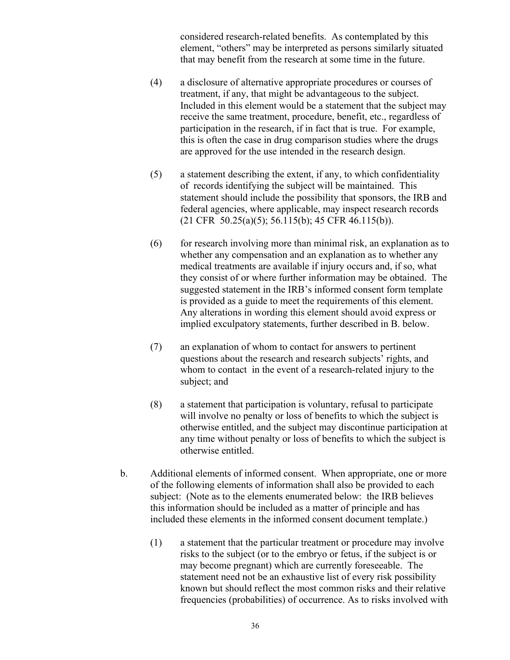considered research-related benefits. As contemplated by this element, "others" may be interpreted as persons similarly situated that may benefit from the research at some time in the future.

- (4) a disclosure of alternative appropriate procedures or courses of treatment, if any, that might be advantageous to the subject. Included in this element would be a statement that the subject may receive the same treatment, procedure, benefit, etc., regardless of participation in the research, if in fact that is true. For example, this is often the case in drug comparison studies where the drugs are approved for the use intended in the research design.
- (5) a statement describing the extent, if any, to which confidentiality of records identifying the subject will be maintained. This statement should include the possibility that sponsors, the IRB and federal agencies, where applicable, may inspect research records (21 CFR 50.25(a)(5); 56.115(b); 45 CFR 46.115(b)).
- (6) for research involving more than minimal risk, an explanation as to whether any compensation and an explanation as to whether any medical treatments are available if injury occurs and, if so, what they consist of or where further information may be obtained. The suggested statement in the IRB's informed consent form template is provided as a guide to meet the requirements of this element. Any alterations in wording this element should avoid express or implied exculpatory statements, further described in B. below.
- (7) an explanation of whom to contact for answers to pertinent questions about the research and research subjects' rights, and whom to contact in the event of a research-related injury to the subject; and
- (8) a statement that participation is voluntary, refusal to participate will involve no penalty or loss of benefits to which the subject is otherwise entitled, and the subject may discontinue participation at any time without penalty or loss of benefits to which the subject is otherwise entitled.
- b. Additional elements of informed consent. When appropriate, one or more of the following elements of information shall also be provided to each subject: (Note as to the elements enumerated below: the IRB believes this information should be included as a matter of principle and has included these elements in the informed consent document template.)
	- (1) a statement that the particular treatment or procedure may involve risks to the subject (or to the embryo or fetus, if the subject is or may become pregnant) which are currently foreseeable. The statement need not be an exhaustive list of every risk possibility known but should reflect the most common risks and their relative frequencies (probabilities) of occurrence. As to risks involved with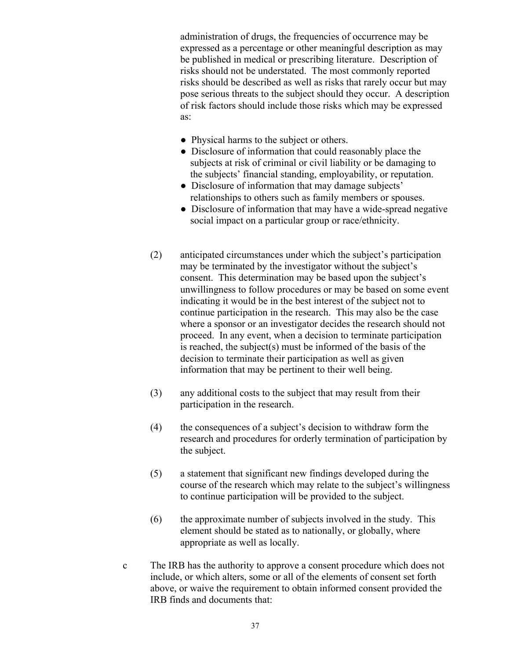administration of drugs, the frequencies of occurrence may be expressed as a percentage or other meaningful description as may be published in medical or prescribing literature. Description of risks should not be understated. The most commonly reported risks should be described as well as risks that rarely occur but may pose serious threats to the subject should they occur. A description of risk factors should include those risks which may be expressed as:

- Physical harms to the subject or others.
- Disclosure of information that could reasonably place the subjects at risk of criminal or civil liability or be damaging to the subjects' financial standing, employability, or reputation.
- Disclosure of information that may damage subjects' relationships to others such as family members or spouses.
- Disclosure of information that may have a wide-spread negative social impact on a particular group or race/ethnicity.
- (2) anticipated circumstances under which the subject's participation may be terminated by the investigator without the subject's consent. This determination may be based upon the subject's unwillingness to follow procedures or may be based on some event indicating it would be in the best interest of the subject not to continue participation in the research. This may also be the case where a sponsor or an investigator decides the research should not proceed. In any event, when a decision to terminate participation is reached, the subject(s) must be informed of the basis of the decision to terminate their participation as well as given information that may be pertinent to their well being.
- (3) any additional costs to the subject that may result from their participation in the research.
- (4) the consequences of a subject's decision to withdraw form the research and procedures for orderly termination of participation by the subject.
- (5) a statement that significant new findings developed during the course of the research which may relate to the subject's willingness to continue participation will be provided to the subject.
- (6) the approximate number of subjects involved in the study. This element should be stated as to nationally, or globally, where appropriate as well as locally.
- c The IRB has the authority to approve a consent procedure which does not include, or which alters, some or all of the elements of consent set forth above, or waive the requirement to obtain informed consent provided the IRB finds and documents that: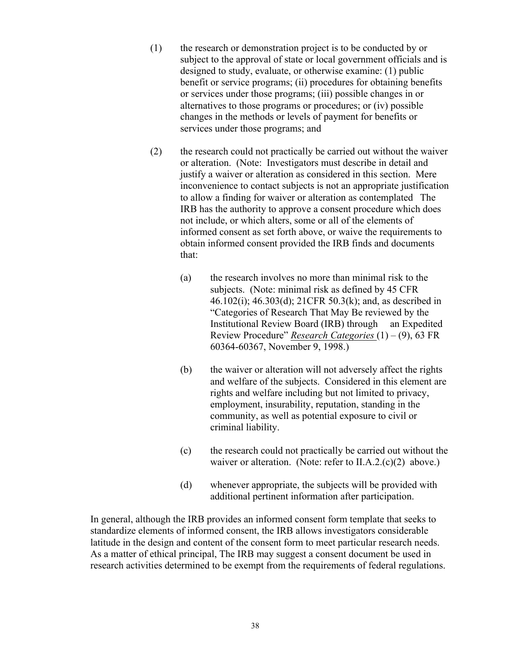- (1) the research or demonstration project is to be conducted by or subject to the approval of state or local government officials and is designed to study, evaluate, or otherwise examine: (1) public benefit or service programs; (ii) procedures for obtaining benefits or services under those programs; (iii) possible changes in or alternatives to those programs or procedures; or (iv) possible changes in the methods or levels of payment for benefits or services under those programs; and
- (2) the research could not practically be carried out without the waiver or alteration. (Note: Investigators must describe in detail and justify a waiver or alteration as considered in this section. Mere inconvenience to contact subjects is not an appropriate justification to allow a finding for waiver or alteration as contemplated The IRB has the authority to approve a consent procedure which does not include, or which alters, some or all of the elements of informed consent as set forth above, or waive the requirements to obtain informed consent provided the IRB finds and documents that:
	- (a) the research involves no more than minimal risk to the subjects. (Note: minimal risk as defined by 45 CFR 46.102(i); 46.303(d); 21CFR 50.3(k); and, as described in "Categories of Research That May Be reviewed by the Institutional Review Board (IRB) through an Expedited Review Procedure" *Research Categories* (1) – (9), 63 FR 60364-60367, November 9, 1998.)
	- (b) the waiver or alteration will not adversely affect the rights and welfare of the subjects. Considered in this element are rights and welfare including but not limited to privacy, employment, insurability, reputation, standing in the community, as well as potential exposure to civil or criminal liability.
	- (c) the research could not practically be carried out without the waiver or alteration. (Note: refer to II.A.2.(c)(2) above.)
	- (d) whenever appropriate, the subjects will be provided with additional pertinent information after participation.

In general, although the IRB provides an informed consent form template that seeks to standardize elements of informed consent, the IRB allows investigators considerable latitude in the design and content of the consent form to meet particular research needs. As a matter of ethical principal, The IRB may suggest a consent document be used in research activities determined to be exempt from the requirements of federal regulations.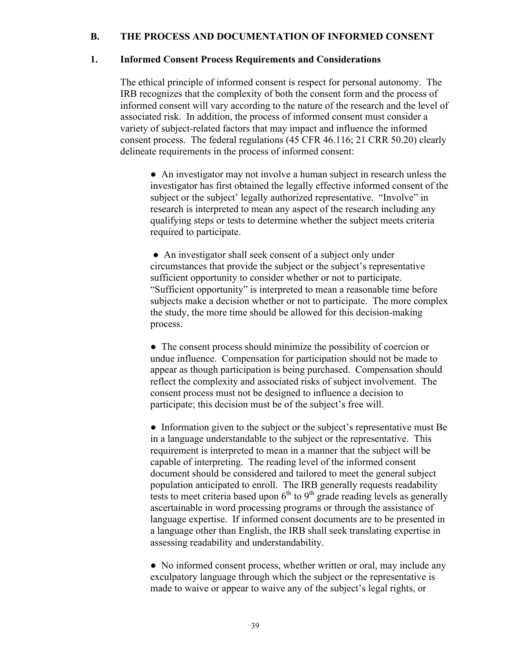## **B. THE PROCESS AND DOCUMENTATION OF INFORMED CONSENT**

#### **1. Informed Consent Process Requirements and Considerations**

The ethical principle of informed consent is respect for personal autonomy. The IRB recognizes that the complexity of both the consent form and the process of informed consent will vary according to the nature of the research and the level of associated risk. In addition, the process of informed consent must consider a variety of subject-related factors that may impact and influence the informed consent process. The federal regulations (45 CFR 46.116; 21 CRR 50.20) clearly delineate requirements in the process of informed consent:

● An investigator may not involve a human subject in research unless the investigator has first obtained the legally effective informed consent of the subject or the subject' legally authorized representative. "Involve" in research is interpreted to mean any aspect of the research including any qualifying steps or tests to determine whether the subject meets criteria required to participate.

● An investigator shall seek consent of a subject only under circumstances that provide the subject or the subject's representative sufficient opportunity to consider whether or not to participate. "Sufficient opportunity" is interpreted to mean a reasonable time before subjects make a decision whether or not to participate. The more complex the study, the more time should be allowed for this decision-making process.

• The consent process should minimize the possibility of coercion or undue influence. Compensation for participation should not be made to appear as though participation is being purchased. Compensation should reflect the complexity and associated risks of subject involvement. The consent process must not be designed to influence a decision to participate; this decision must be of the subject's free will.

• Information given to the subject or the subject's representative must Be in a language understandable to the subject or the representative. This requirement is interpreted to mean in a manner that the subject will be capable of interpreting. The reading level of the informed consent document should be considered and tailored to meet the general subject population anticipated to enroll. The IRB generally requests readability tests to meet criteria based upon  $6<sup>th</sup>$  to  $9<sup>th</sup>$  grade reading levels as generally ascertainable in word processing programs or through the assistance of language expertise. If informed consent documents are to be presented in a language other than English, the IRB shall seek translating expertise in assessing readability and understandability.

• No informed consent process, whether written or oral, may include any exculpatory language through which the subject or the representative is made to waive or appear to waive any of the subject's legal rights, or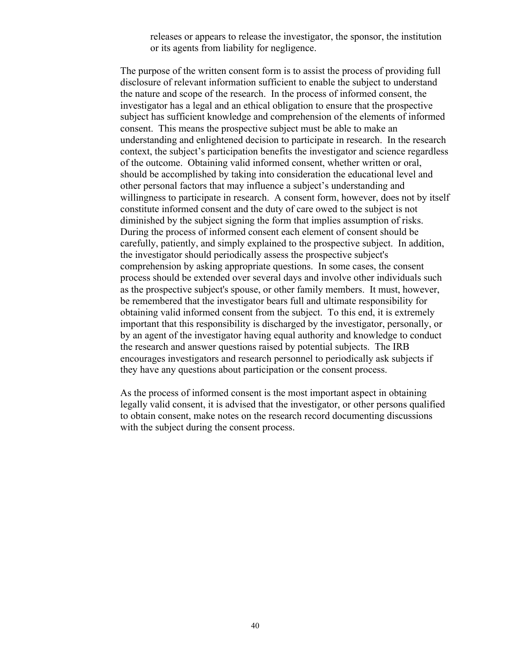releases or appears to release the investigator, the sponsor, the institution or its agents from liability for negligence.

The purpose of the written consent form is to assist the process of providing full disclosure of relevant information sufficient to enable the subject to understand the nature and scope of the research. In the process of informed consent, the investigator has a legal and an ethical obligation to ensure that the prospective subject has sufficient knowledge and comprehension of the elements of informed consent. This means the prospective subject must be able to make an understanding and enlightened decision to participate in research. In the research context, the subject's participation benefits the investigator and science regardless of the outcome. Obtaining valid informed consent, whether written or oral, should be accomplished by taking into consideration the educational level and other personal factors that may influence a subject's understanding and willingness to participate in research. A consent form, however, does not by itself constitute informed consent and the duty of care owed to the subject is not diminished by the subject signing the form that implies assumption of risks. During the process of informed consent each element of consent should be carefully, patiently, and simply explained to the prospective subject. In addition, the investigator should periodically assess the prospective subject's comprehension by asking appropriate questions. In some cases, the consent process should be extended over several days and involve other individuals such as the prospective subject's spouse, or other family members. It must, however, be remembered that the investigator bears full and ultimate responsibility for obtaining valid informed consent from the subject. To this end, it is extremely important that this responsibility is discharged by the investigator, personally, or by an agent of the investigator having equal authority and knowledge to conduct the research and answer questions raised by potential subjects. The IRB encourages investigators and research personnel to periodically ask subjects if they have any questions about participation or the consent process.

As the process of informed consent is the most important aspect in obtaining legally valid consent, it is advised that the investigator, or other persons qualified to obtain consent, make notes on the research record documenting discussions with the subject during the consent process.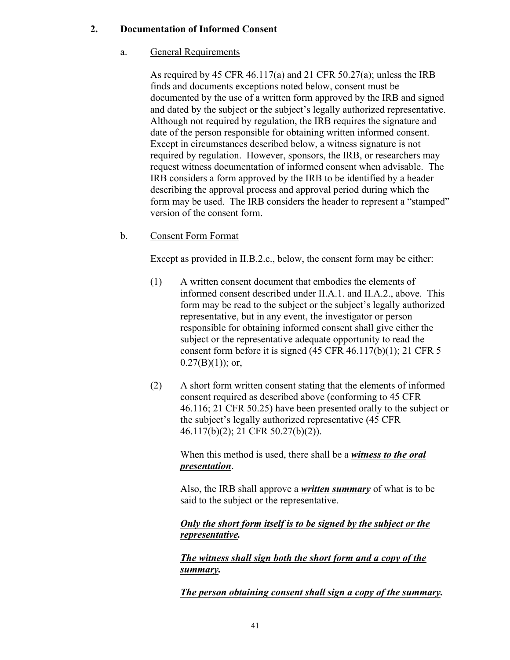## **2. Documentation of Informed Consent**

## a. General Requirements

As required by 45 CFR 46.117(a) and 21 CFR 50.27(a); unless the IRB finds and documents exceptions noted below, consent must be documented by the use of a written form approved by the IRB and signed and dated by the subject or the subject's legally authorized representative. Although not required by regulation, the IRB requires the signature and date of the person responsible for obtaining written informed consent. Except in circumstances described below, a witness signature is not required by regulation. However, sponsors, the IRB, or researchers may request witness documentation of informed consent when advisable. The IRB considers a form approved by the IRB to be identified by a header describing the approval process and approval period during which the form may be used. The IRB considers the header to represent a "stamped" version of the consent form.

b. Consent Form Format

Except as provided in II.B.2.c., below, the consent form may be either:

- (1) A written consent document that embodies the elements of informed consent described under II.A.1. and II.A.2., above. This form may be read to the subject or the subject's legally authorized representative, but in any event, the investigator or person responsible for obtaining informed consent shall give either the subject or the representative adequate opportunity to read the consent form before it is signed (45 CFR 46.117(b)(1); 21 CFR 5  $0.27(B)(1)$ ; or,
- (2) A short form written consent stating that the elements of informed consent required as described above (conforming to 45 CFR 46.116; 21 CFR 50.25) have been presented orally to the subject or the subject's legally authorized representative (45 CFR 46.117(b)(2); 21 CFR 50.27(b)(2)).

When this method is used, there shall be a *witness to the oral presentation*.

Also, the IRB shall approve a *written summary* of what is to be said to the subject or the representative.

*Only the short form itself is to be signed by the subject or the representative.*

*The witness shall sign both the short form and a copy of the summary.*

*The person obtaining consent shall sign a copy of the summary.*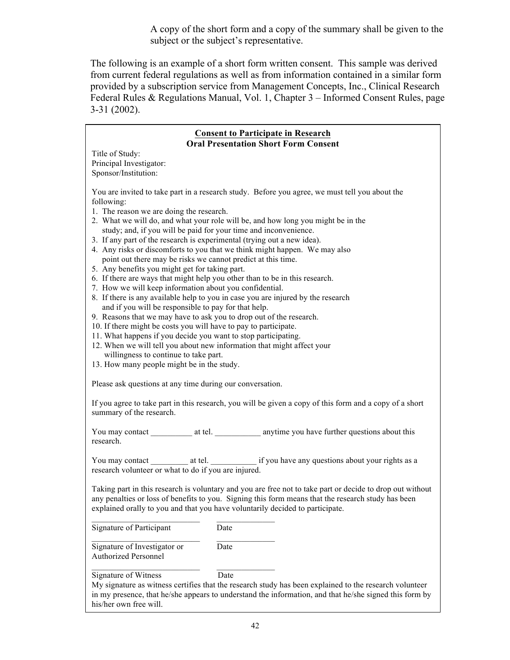A copy of the short form and a copy of the summary shall be given to the subject or the subject's representative.

The following is an example of a short form written consent. This sample was derived from current federal regulations as well as from information contained in a similar form provided by a subscription service from Management Concepts, Inc., Clinical Research Federal Rules & Regulations Manual, Vol. 1, Chapter 3 – Informed Consent Rules, page 3-31 (2002).

#### **Consent to Participate in Research Oral Presentation Short Form Consent**

Title of Study: Principal Investigator: Sponsor/Institution:

You are invited to take part in a research study. Before you agree, we must tell you about the following:

- 1. The reason we are doing the research.
- 2. What we will do, and what your role will be, and how long you might be in the study; and, if you will be paid for your time and inconvenience.
- 3. If any part of the research is experimental (trying out a new idea).
- 4. Any risks or discomforts to you that we think might happen. We may also point out there may be risks we cannot predict at this time.
- 5. Any benefits you might get for taking part.
- 6. If there are ways that might help you other than to be in this research.
- 7. How we will keep information about you confidential.
- 8. If there is any available help to you in case you are injured by the research and if you will be responsible to pay for that help.
- 9. Reasons that we may have to ask you to drop out of the research.
- 10. If there might be costs you will have to pay to participate.
- 11. What happens if you decide you want to stop participating.
- 12. When we will tell you about new information that might affect your willingness to continue to take part.
- 13. How many people might be in the study.

Please ask questions at any time during our conversation.

If you agree to take part in this research, you will be given a copy of this form and a copy of a short summary of the research.

You may contact \_\_\_\_\_\_\_\_\_\_\_\_ at tel. \_\_\_\_\_\_\_\_\_\_\_\_\_ anytime you have further questions about this research.

You may contact at tel.  $\frac{1}{2}$  at tel.  $\frac{1}{2}$  if you have any questions about your rights as a research volunteer or what to do if you are injured.

Taking part in this research is voluntary and you are free not to take part or decide to drop out without any penalties or loss of benefits to you. Signing this form means that the research study has been explained orally to you and that you have voluntarily decided to participate.

\_\_\_\_\_\_\_\_\_\_\_\_\_\_\_\_\_\_\_\_\_\_\_\_\_\_ \_\_\_\_\_\_\_\_\_\_\_\_\_\_ Signature of Participant Date

Signature of Investigator or Date Authorized Personnel

Signature of Witness Date

My signature as witness certifies that the research study has been explained to the research volunteer in my presence, that he/she appears to understand the information, and that he/she signed this form by his/her own free will.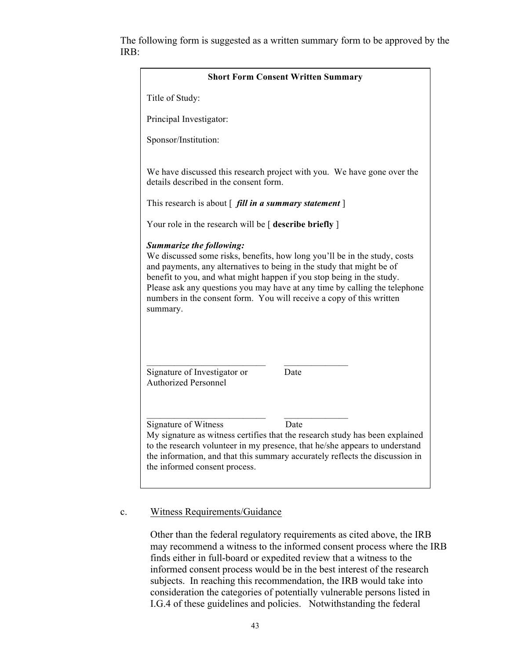The following form is suggested as a written summary form to be approved by the IRB:

| <b>Short Form Consent Written Summary</b>                                                                                                                                                                                                                                                                                                                                                                                        |  |  |
|----------------------------------------------------------------------------------------------------------------------------------------------------------------------------------------------------------------------------------------------------------------------------------------------------------------------------------------------------------------------------------------------------------------------------------|--|--|
| Title of Study:                                                                                                                                                                                                                                                                                                                                                                                                                  |  |  |
| Principal Investigator:                                                                                                                                                                                                                                                                                                                                                                                                          |  |  |
| Sponsor/Institution:                                                                                                                                                                                                                                                                                                                                                                                                             |  |  |
| We have discussed this research project with you. We have gone over the<br>details described in the consent form.                                                                                                                                                                                                                                                                                                                |  |  |
| This research is about $\int$ <i>fill in a summary statement</i> $\vert$                                                                                                                                                                                                                                                                                                                                                         |  |  |
| Your role in the research will be $\lceil$ describe briefly $\rceil$                                                                                                                                                                                                                                                                                                                                                             |  |  |
| <b>Summarize the following:</b><br>We discussed some risks, benefits, how long you'll be in the study, costs<br>and payments, any alternatives to being in the study that might be of<br>benefit to you, and what might happen if you stop being in the study.<br>Please ask any questions you may have at any time by calling the telephone<br>numbers in the consent form. You will receive a copy of this written<br>summary. |  |  |
| Signature of Investigator or<br>Date<br><b>Authorized Personnel</b>                                                                                                                                                                                                                                                                                                                                                              |  |  |
| Signature of Witness<br>Date<br>My signature as witness certifies that the research study has been explained<br>to the research volunteer in my presence, that he/she appears to understand<br>the information, and that this summary accurately reflects the discussion in<br>the informed consent process.                                                                                                                     |  |  |

## c. Witness Requirements/Guidance

Other than the federal regulatory requirements as cited above, the IRB may recommend a witness to the informed consent process where the IRB finds either in full-board or expedited review that a witness to the informed consent process would be in the best interest of the research subjects. In reaching this recommendation, the IRB would take into consideration the categories of potentially vulnerable persons listed in I.G.4 of these guidelines and policies. Notwithstanding the federal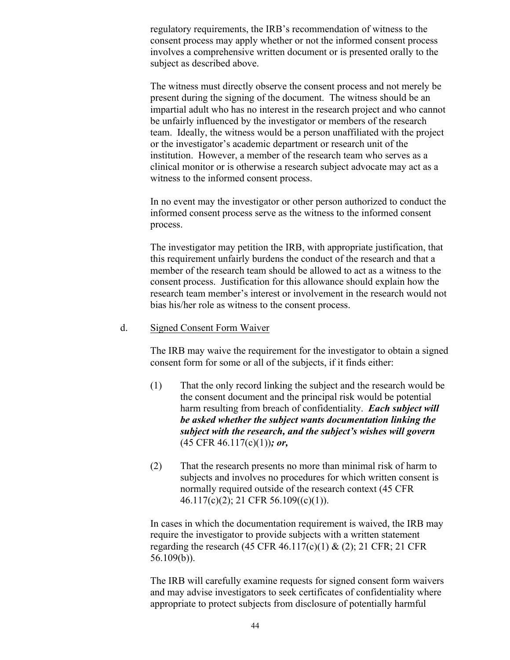regulatory requirements, the IRB's recommendation of witness to the consent process may apply whether or not the informed consent process involves a comprehensive written document or is presented orally to the subject as described above.

The witness must directly observe the consent process and not merely be present during the signing of the document. The witness should be an impartial adult who has no interest in the research project and who cannot be unfairly influenced by the investigator or members of the research team. Ideally, the witness would be a person unaffiliated with the project or the investigator's academic department or research unit of the institution. However, a member of the research team who serves as a clinical monitor or is otherwise a research subject advocate may act as a witness to the informed consent process.

In no event may the investigator or other person authorized to conduct the informed consent process serve as the witness to the informed consent process.

The investigator may petition the IRB, with appropriate justification, that this requirement unfairly burdens the conduct of the research and that a member of the research team should be allowed to act as a witness to the consent process. Justification for this allowance should explain how the research team member's interest or involvement in the research would not bias his/her role as witness to the consent process.

#### d. Signed Consent Form Waiver

The IRB may waive the requirement for the investigator to obtain a signed consent form for some or all of the subjects, if it finds either:

- (1) That the only record linking the subject and the research would be the consent document and the principal risk would be potential harm resulting from breach of confidentiality. *Each subject will be asked whether the subject wants documentation linking the subject with the research, and the subject's wishes will govern* (45 CFR 46.117(c)(1))*; or,*
- (2) That the research presents no more than minimal risk of harm to subjects and involves no procedures for which written consent is normally required outside of the research context (45 CFR 46.117(c)(2); 21 CFR 56.109((c)(1)).

In cases in which the documentation requirement is waived, the IRB may require the investigator to provide subjects with a written statement regarding the research (45 CFR 46.117(c)(1) & (2); 21 CFR; 21 CFR 56.109(b)).

The IRB will carefully examine requests for signed consent form waivers and may advise investigators to seek certificates of confidentiality where appropriate to protect subjects from disclosure of potentially harmful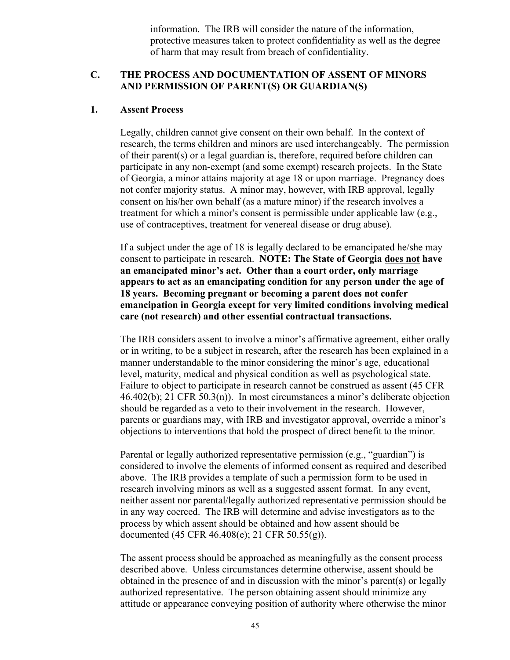information. The IRB will consider the nature of the information, protective measures taken to protect confidentiality as well as the degree of harm that may result from breach of confidentiality.

# **C. THE PROCESS AND DOCUMENTATION OF ASSENT OF MINORS AND PERMISSION OF PARENT(S) OR GUARDIAN(S)**

#### **1. Assent Process**

Legally, children cannot give consent on their own behalf. In the context of research, the terms children and minors are used interchangeably. The permission of their parent(s) or a legal guardian is, therefore, required before children can participate in any non-exempt (and some exempt) research projects. In the State of Georgia, a minor attains majority at age 18 or upon marriage. Pregnancy does not confer majority status. A minor may, however, with IRB approval, legally consent on his/her own behalf (as a mature minor) if the research involves a treatment for which a minor's consent is permissible under applicable law (e.g., use of contraceptives, treatment for venereal disease or drug abuse).

If a subject under the age of 18 is legally declared to be emancipated he/she may consent to participate in research. **NOTE: The State of Georgia does not have an emancipated minor's act. Other than a court order, only marriage appears to act as an emancipating condition for any person under the age of 18 years. Becoming pregnant or becoming a parent does not confer emancipation in Georgia except for very limited conditions involving medical care (not research) and other essential contractual transactions.**

The IRB considers assent to involve a minor's affirmative agreement, either orally or in writing, to be a subject in research, after the research has been explained in a manner understandable to the minor considering the minor's age, educational level, maturity, medical and physical condition as well as psychological state. Failure to object to participate in research cannot be construed as assent (45 CFR 46.402(b); 21 CFR 50.3(n)). In most circumstances a minor's deliberate objection should be regarded as a veto to their involvement in the research. However, parents or guardians may, with IRB and investigator approval, override a minor's objections to interventions that hold the prospect of direct benefit to the minor.

Parental or legally authorized representative permission (e.g., "guardian") is considered to involve the elements of informed consent as required and described above. The IRB provides a template of such a permission form to be used in research involving minors as well as a suggested assent format. In any event, neither assent nor parental/legally authorized representative permission should be in any way coerced. The IRB will determine and advise investigators as to the process by which assent should be obtained and how assent should be documented (45 CFR 46.408(e); 21 CFR 50.55(g)).

The assent process should be approached as meaningfully as the consent process described above. Unless circumstances determine otherwise, assent should be obtained in the presence of and in discussion with the minor's parent(s) or legally authorized representative. The person obtaining assent should minimize any attitude or appearance conveying position of authority where otherwise the minor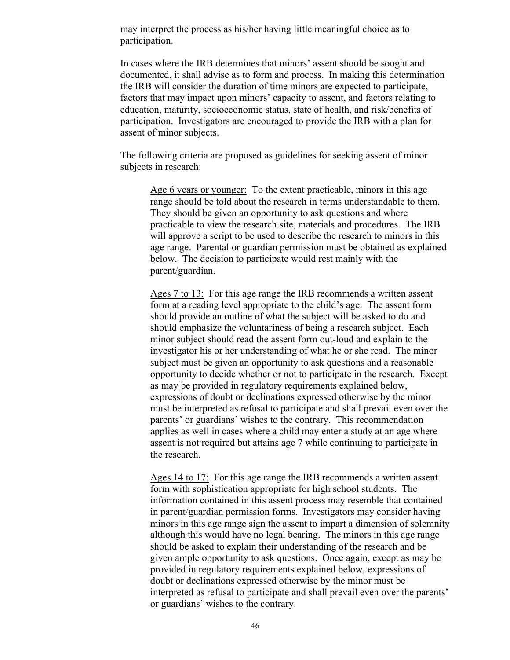may interpret the process as his/her having little meaningful choice as to participation.

In cases where the IRB determines that minors' assent should be sought and documented, it shall advise as to form and process. In making this determination the IRB will consider the duration of time minors are expected to participate, factors that may impact upon minors' capacity to assent, and factors relating to education, maturity, socioeconomic status, state of health, and risk/benefits of participation. Investigators are encouraged to provide the IRB with a plan for assent of minor subjects.

The following criteria are proposed as guidelines for seeking assent of minor subjects in research:

Age 6 years or younger: To the extent practicable, minors in this age range should be told about the research in terms understandable to them. They should be given an opportunity to ask questions and where practicable to view the research site, materials and procedures. The IRB will approve a script to be used to describe the research to minors in this age range. Parental or guardian permission must be obtained as explained below. The decision to participate would rest mainly with the parent/guardian.

Ages 7 to 13: For this age range the IRB recommends a written assent form at a reading level appropriate to the child's age. The assent form should provide an outline of what the subject will be asked to do and should emphasize the voluntariness of being a research subject. Each minor subject should read the assent form out-loud and explain to the investigator his or her understanding of what he or she read. The minor subject must be given an opportunity to ask questions and a reasonable opportunity to decide whether or not to participate in the research. Except as may be provided in regulatory requirements explained below, expressions of doubt or declinations expressed otherwise by the minor must be interpreted as refusal to participate and shall prevail even over the parents' or guardians' wishes to the contrary. This recommendation applies as well in cases where a child may enter a study at an age where assent is not required but attains age 7 while continuing to participate in the research.

Ages 14 to 17: For this age range the IRB recommends a written assent form with sophistication appropriate for high school students. The information contained in this assent process may resemble that contained in parent/guardian permission forms. Investigators may consider having minors in this age range sign the assent to impart a dimension of solemnity although this would have no legal bearing. The minors in this age range should be asked to explain their understanding of the research and be given ample opportunity to ask questions. Once again, except as may be provided in regulatory requirements explained below, expressions of doubt or declinations expressed otherwise by the minor must be interpreted as refusal to participate and shall prevail even over the parents' or guardians' wishes to the contrary.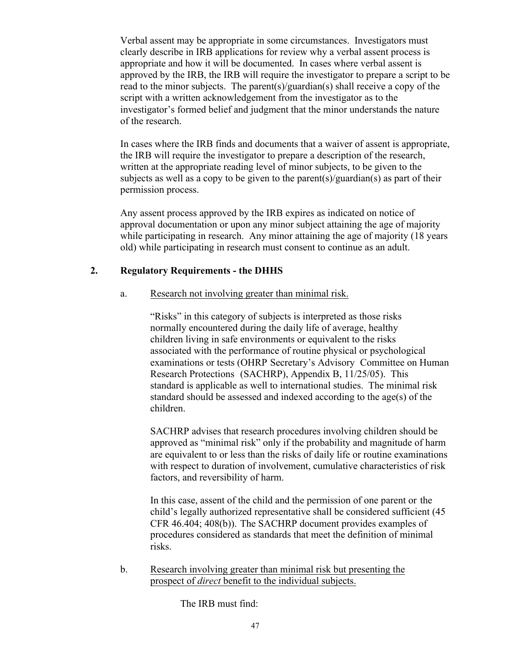Verbal assent may be appropriate in some circumstances. Investigators must clearly describe in IRB applications for review why a verbal assent process is appropriate and how it will be documented. In cases where verbal assent is approved by the IRB, the IRB will require the investigator to prepare a script to be read to the minor subjects. The parent(s)/guardian(s) shall receive a copy of the script with a written acknowledgement from the investigator as to the investigator's formed belief and judgment that the minor understands the nature of the research.

In cases where the IRB finds and documents that a waiver of assent is appropriate, the IRB will require the investigator to prepare a description of the research, written at the appropriate reading level of minor subjects, to be given to the subjects as well as a copy to be given to the parent(s)/guardian(s) as part of their permission process.

Any assent process approved by the IRB expires as indicated on notice of approval documentation or upon any minor subject attaining the age of majority while participating in research. Any minor attaining the age of majority (18 years old) while participating in research must consent to continue as an adult.

# **2. Regulatory Requirements - the DHHS**

# a. Research not involving greater than minimal risk.

"Risks" in this category of subjects is interpreted as those risks normally encountered during the daily life of average, healthy children living in safe environments or equivalent to the risks associated with the performance of routine physical or psychological examinations or tests (OHRP Secretary's Advisory Committee on Human Research Protections (SACHRP), Appendix B, 11/25/05). This standard is applicable as well to international studies. The minimal risk standard should be assessed and indexed according to the age(s) of the children.

SACHRP advises that research procedures involving children should be approved as "minimal risk" only if the probability and magnitude of harm are equivalent to or less than the risks of daily life or routine examinations with respect to duration of involvement, cumulative characteristics of risk factors, and reversibility of harm.

In this case, assent of the child and the permission of one parent or the child's legally authorized representative shall be considered sufficient (45 CFR 46.404; 408(b)). The SACHRP document provides examples of procedures considered as standards that meet the definition of minimal risks.

b. Research involving greater than minimal risk but presenting the prospect of *direct* benefit to the individual subjects.

The IRB must find: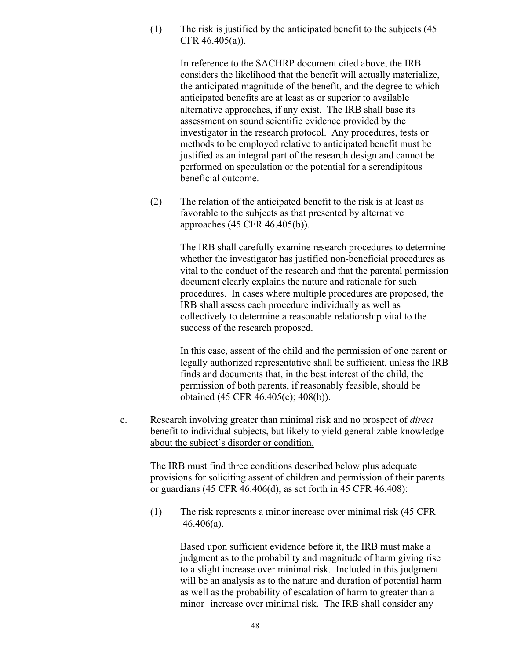(1) The risk is justified by the anticipated benefit to the subjects (45 CFR 46.405(a)).

> In reference to the SACHRP document cited above, the IRB considers the likelihood that the benefit will actually materialize, the anticipated magnitude of the benefit, and the degree to which anticipated benefits are at least as or superior to available alternative approaches, if any exist. The IRB shall base its assessment on sound scientific evidence provided by the investigator in the research protocol. Any procedures, tests or methods to be employed relative to anticipated benefit must be justified as an integral part of the research design and cannot be performed on speculation or the potential for a serendipitous beneficial outcome.

(2) The relation of the anticipated benefit to the risk is at least as favorable to the subjects as that presented by alternative approaches (45 CFR 46.405(b)).

> The IRB shall carefully examine research procedures to determine whether the investigator has justified non-beneficial procedures as vital to the conduct of the research and that the parental permission document clearly explains the nature and rationale for such procedures. In cases where multiple procedures are proposed, the IRB shall assess each procedure individually as well as collectively to determine a reasonable relationship vital to the success of the research proposed.

> In this case, assent of the child and the permission of one parent or legally authorized representative shall be sufficient, unless the IRB finds and documents that, in the best interest of the child, the permission of both parents, if reasonably feasible, should be obtained (45 CFR 46.405(c); 408(b)).

c. Research involving greater than minimal risk and no prospect of *direct* benefit to individual subjects, but likely to yield generalizable knowledge about the subject's disorder or condition.

The IRB must find three conditions described below plus adequate provisions for soliciting assent of children and permission of their parents or guardians (45 CFR 46.406(d), as set forth in 45 CFR 46.408):

(1) The risk represents a minor increase over minimal risk (45 CFR 46.406(a).

> Based upon sufficient evidence before it, the IRB must make a judgment as to the probability and magnitude of harm giving rise to a slight increase over minimal risk. Included in this judgment will be an analysis as to the nature and duration of potential harm as well as the probability of escalation of harm to greater than a minor increase over minimal risk. The IRB shall consider any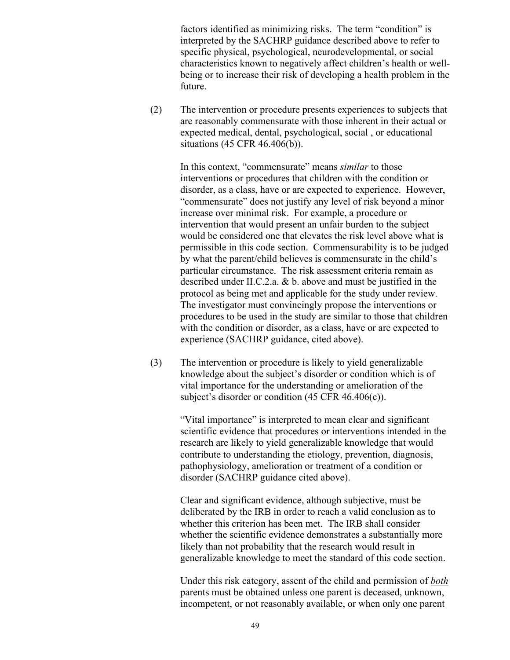factors identified as minimizing risks. The term "condition" is interpreted by the SACHRP guidance described above to refer to specific physical, psychological, neurodevelopmental, or social characteristics known to negatively affect children's health or wellbeing or to increase their risk of developing a health problem in the future.

(2) The intervention or procedure presents experiences to subjects that are reasonably commensurate with those inherent in their actual or expected medical, dental, psychological, social , or educational situations (45 CFR 46.406(b)).

> In this context, "commensurate" means *similar* to those interventions or procedures that children with the condition or disorder, as a class, have or are expected to experience. However, "commensurate" does not justify any level of risk beyond a minor increase over minimal risk. For example, a procedure or intervention that would present an unfair burden to the subject would be considered one that elevates the risk level above what is permissible in this code section. Commensurability is to be judged by what the parent/child believes is commensurate in the child's particular circumstance. The risk assessment criteria remain as described under II.C.2.a. & b. above and must be justified in the protocol as being met and applicable for the study under review. The investigator must convincingly propose the interventions or procedures to be used in the study are similar to those that children with the condition or disorder, as a class, have or are expected to experience (SACHRP guidance, cited above).

(3) The intervention or procedure is likely to yield generalizable knowledge about the subject's disorder or condition which is of vital importance for the understanding or amelioration of the subject's disorder or condition (45 CFR 46.406(c)).

> "Vital importance" is interpreted to mean clear and significant scientific evidence that procedures or interventions intended in the research are likely to yield generalizable knowledge that would contribute to understanding the etiology, prevention, diagnosis, pathophysiology, amelioration or treatment of a condition or disorder (SACHRP guidance cited above).

> Clear and significant evidence, although subjective, must be deliberated by the IRB in order to reach a valid conclusion as to whether this criterion has been met. The IRB shall consider whether the scientific evidence demonstrates a substantially more likely than not probability that the research would result in generalizable knowledge to meet the standard of this code section.

Under this risk category, assent of the child and permission of *both* parents must be obtained unless one parent is deceased, unknown, incompetent, or not reasonably available, or when only one parent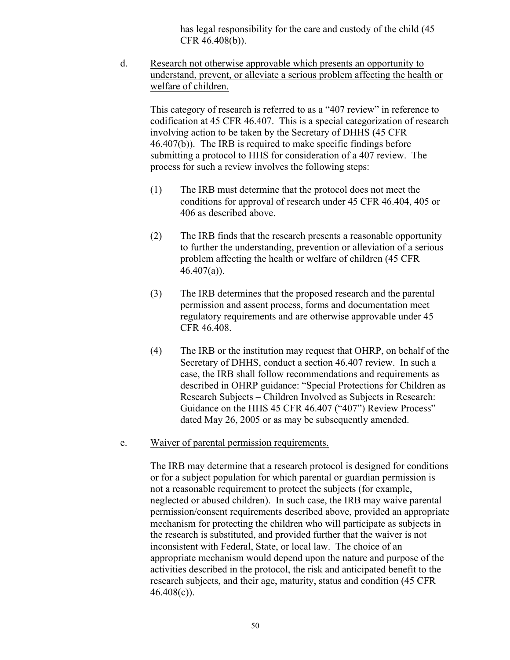has legal responsibility for the care and custody of the child (45 CFR 46.408(b)).

d. Research not otherwise approvable which presents an opportunity to understand, prevent, or alleviate a serious problem affecting the health or welfare of children.

This category of research is referred to as a "407 review" in reference to codification at 45 CFR 46.407. This is a special categorization of research involving action to be taken by the Secretary of DHHS (45 CFR 46.407(b)). The IRB is required to make specific findings before submitting a protocol to HHS for consideration of a 407 review. The process for such a review involves the following steps:

- (1) The IRB must determine that the protocol does not meet the conditions for approval of research under 45 CFR 46.404, 405 or 406 as described above.
- (2) The IRB finds that the research presents a reasonable opportunity to further the understanding, prevention or alleviation of a serious problem affecting the health or welfare of children (45 CFR  $46.407(a)$ ).
- (3) The IRB determines that the proposed research and the parental permission and assent process, forms and documentation meet regulatory requirements and are otherwise approvable under 45 CFR 46.408.
- (4) The IRB or the institution may request that OHRP, on behalf of the Secretary of DHHS, conduct a section 46.407 review. In such a case, the IRB shall follow recommendations and requirements as described in OHRP guidance: "Special Protections for Children as Research Subjects – Children Involved as Subjects in Research: Guidance on the HHS 45 CFR 46.407 ("407") Review Process" dated May 26, 2005 or as may be subsequently amended.
- e. Waiver of parental permission requirements.

The IRB may determine that a research protocol is designed for conditions or for a subject population for which parental or guardian permission is not a reasonable requirement to protect the subjects (for example, neglected or abused children). In such case, the IRB may waive parental permission/consent requirements described above, provided an appropriate mechanism for protecting the children who will participate as subjects in the research is substituted, and provided further that the waiver is not inconsistent with Federal, State, or local law. The choice of an appropriate mechanism would depend upon the nature and purpose of the activities described in the protocol, the risk and anticipated benefit to the research subjects, and their age, maturity, status and condition (45 CFR  $46.408(c)$ ).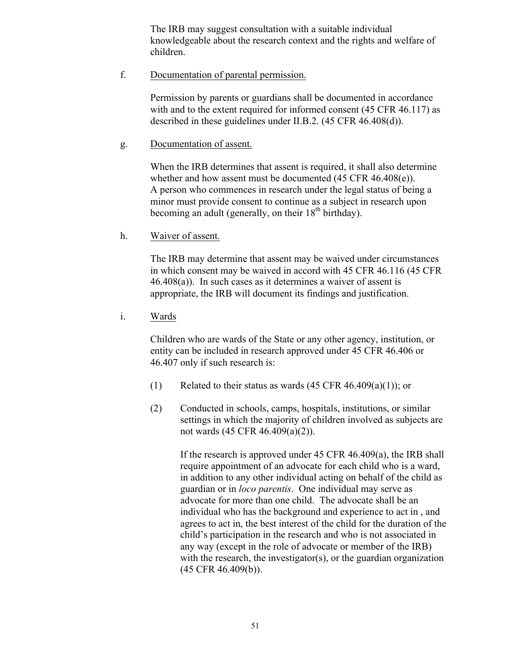The IRB may suggest consultation with a suitable individual knowledgeable about the research context and the rights and welfare of children.

f. Documentation of parental permission.

Permission by parents or guardians shall be documented in accordance with and to the extent required for informed consent (45 CFR 46.117) as described in these guidelines under II.B.2. (45 CFR 46.408(d)).

g. Documentation of assent.

When the IRB determines that assent is required, it shall also determine whether and how assent must be documented (45 CFR 46.408(e)). A person who commences in research under the legal status of being a minor must provide consent to continue as a subject in research upon becoming an adult (generally, on their  $18<sup>th</sup>$  birthday).

h. Waiver of assent.

The IRB may determine that assent may be waived under circumstances in which consent may be waived in accord with 45 CFR 46.116 (45 CFR 46.408(a)). In such cases as it determines a waiver of assent is appropriate, the IRB will document its findings and justification.

i. Wards

Children who are wards of the State or any other agency, institution, or entity can be included in research approved under 45 CFR 46.406 or 46.407 only if such research is:

- (1) Related to their status as wards  $(45 \text{ CFR } 46.409(a)(1))$ ; or
- (2) Conducted in schools, camps, hospitals, institutions, or similar settings in which the majority of children involved as subjects are not wards (45 CFR 46.409(a)(2)).

If the research is approved under 45 CFR 46.409(a), the IRB shall require appointment of an advocate for each child who is a ward, in addition to any other individual acting on behalf of the child as guardian or in *loco parentis*. One individual may serve as advocate for more than one child. The advocate shall be an individual who has the background and experience to act in , and agrees to act in, the best interest of the child for the duration of the child's participation in the research and who is not associated in any way (except in the role of advocate or member of the IRB) with the research, the investigator(s), or the guardian organization (45 CFR 46.409(b)).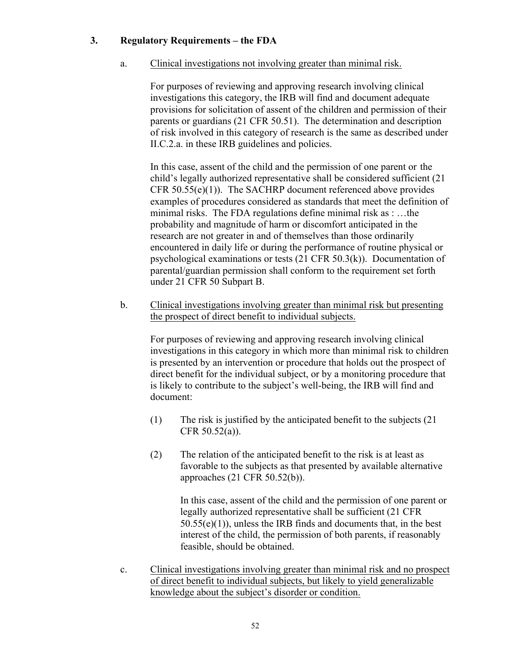## **3. Regulatory Requirements – the FDA**

## a. Clinical investigations not involving greater than minimal risk.

For purposes of reviewing and approving research involving clinical investigations this category, the IRB will find and document adequate provisions for solicitation of assent of the children and permission of their parents or guardians (21 CFR 50.51). The determination and description of risk involved in this category of research is the same as described under II.C.2.a. in these IRB guidelines and policies.

In this case, assent of the child and the permission of one parent or the child's legally authorized representative shall be considered sufficient (21 CFR 50.55(e)(1)). The SACHRP document referenced above provides examples of procedures considered as standards that meet the definition of minimal risks. The FDA regulations define minimal risk as : …the probability and magnitude of harm or discomfort anticipated in the research are not greater in and of themselves than those ordinarily encountered in daily life or during the performance of routine physical or psychological examinations or tests (21 CFR 50.3(k)). Documentation of parental/guardian permission shall conform to the requirement set forth under 21 CFR 50 Subpart B.

b. Clinical investigations involving greater than minimal risk but presenting the prospect of direct benefit to individual subjects.

For purposes of reviewing and approving research involving clinical investigations in this category in which more than minimal risk to children is presented by an intervention or procedure that holds out the prospect of direct benefit for the individual subject, or by a monitoring procedure that is likely to contribute to the subject's well-being, the IRB will find and document:

- (1) The risk is justified by the anticipated benefit to the subjects (21 CFR 50.52(a)).
- (2) The relation of the anticipated benefit to the risk is at least as favorable to the subjects as that presented by available alternative approaches (21 CFR 50.52(b)).

In this case, assent of the child and the permission of one parent or legally authorized representative shall be sufficient (21 CFR 50.55(e)(1)), unless the IRB finds and documents that, in the best interest of the child, the permission of both parents, if reasonably feasible, should be obtained.

c. Clinical investigations involving greater than minimal risk and no prospect of direct benefit to individual subjects, but likely to yield generalizable knowledge about the subject's disorder or condition.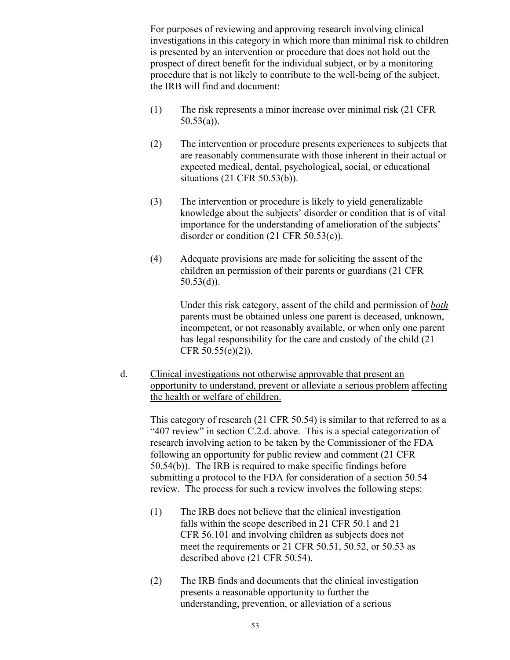For purposes of reviewing and approving research involving clinical investigations in this category in which more than minimal risk to children is presented by an intervention or procedure that does not hold out the prospect of direct benefit for the individual subject, or by a monitoring procedure that is not likely to contribute to the well-being of the subject, the IRB will find and document:

- (1) The risk represents a minor increase over minimal risk (21 CFR  $50.53(a)$ ).
- (2) The intervention or procedure presents experiences to subjects that are reasonably commensurate with those inherent in their actual or expected medical, dental, psychological, social, or educational situations (21 CFR 50.53(b)).
- (3) The intervention or procedure is likely to yield generalizable knowledge about the subjects' disorder or condition that is of vital importance for the understanding of amelioration of the subjects' disorder or condition (21 CFR 50.53(c)).
- (4) Adequate provisions are made for soliciting the assent of the children an permission of their parents or guardians (21 CFR  $50.53(d)$ ).

Under this risk category, assent of the child and permission of *both* parents must be obtained unless one parent is deceased, unknown, incompetent, or not reasonably available, or when only one parent has legal responsibility for the care and custody of the child (21 CFR 50.55(e)(2)).

d. Clinical investigations not otherwise approvable that present an opportunity to understand, prevent or alleviate a serious problem affecting the health or welfare of children.

This category of research (21 CFR 50.54) is similar to that referred to as a "407 review" in section C.2.d. above. This is a special categorization of research involving action to be taken by the Commissioner of the FDA following an opportunity for public review and comment (21 CFR 50.54(b)). The IRB is required to make specific findings before submitting a protocol to the FDA for consideration of a section 50.54 review. The process for such a review involves the following steps:

- (1) The IRB does not believe that the clinical investigation falls within the scope described in 21 CFR 50.1 and 21 CFR 56.101 and involving children as subjects does not meet the requirements or 21 CFR 50.51, 50.52, or 50.53 as described above (21 CFR 50.54).
- (2) The IRB finds and documents that the clinical investigation presents a reasonable opportunity to further the understanding, prevention, or alleviation of a serious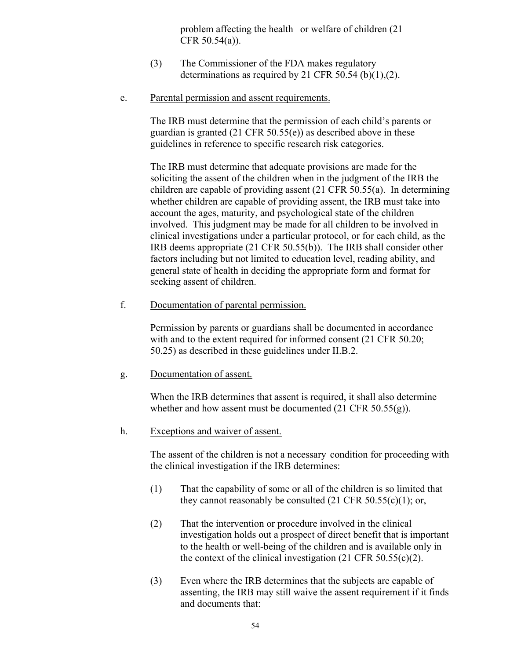problem affecting the health or welfare of children (21 CFR 50.54(a)).

- (3) The Commissioner of the FDA makes regulatory determinations as required by 21 CFR 50.54 (b)(1),(2).
- e. Parental permission and assent requirements.

The IRB must determine that the permission of each child's parents or guardian is granted (21 CFR 50.55(e)) as described above in these guidelines in reference to specific research risk categories.

The IRB must determine that adequate provisions are made for the soliciting the assent of the children when in the judgment of the IRB the children are capable of providing assent (21 CFR 50.55(a). In determining whether children are capable of providing assent, the IRB must take into account the ages, maturity, and psychological state of the children involved. This judgment may be made for all children to be involved in clinical investigations under a particular protocol, or for each child, as the IRB deems appropriate (21 CFR 50.55(b)). The IRB shall consider other factors including but not limited to education level, reading ability, and general state of health in deciding the appropriate form and format for seeking assent of children.

f. Documentation of parental permission.

Permission by parents or guardians shall be documented in accordance with and to the extent required for informed consent (21 CFR 50.20; 50.25) as described in these guidelines under II.B.2.

g. Documentation of assent.

When the IRB determines that assent is required, it shall also determine whether and how assent must be documented (21 CFR 50.55(g)).

h. Exceptions and waiver of assent.

The assent of the children is not a necessary condition for proceeding with the clinical investigation if the IRB determines:

- (1) That the capability of some or all of the children is so limited that they cannot reasonably be consulted  $(21 \text{ CFR } 50.55(c)(1))$ ; or,
- (2) That the intervention or procedure involved in the clinical investigation holds out a prospect of direct benefit that is important to the health or well-being of the children and is available only in the context of the clinical investigation  $(21 \text{ CFR } 50.55(c)(2))$ .
- (3) Even where the IRB determines that the subjects are capable of assenting, the IRB may still waive the assent requirement if it finds and documents that: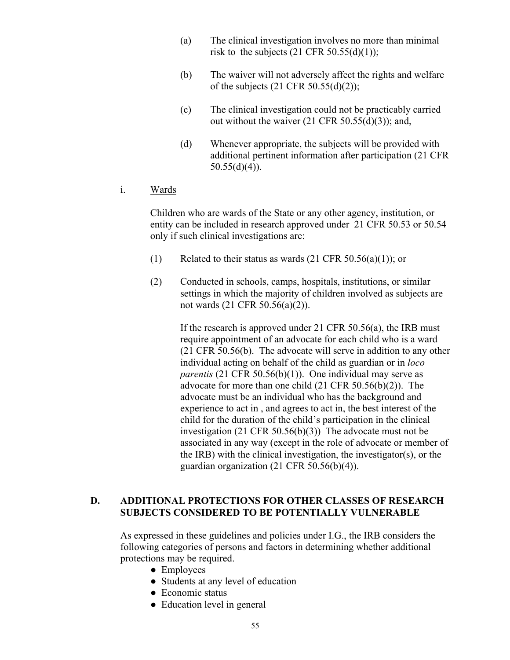- (a) The clinical investigation involves no more than minimal risk to the subjects  $(21 \text{ CFR } 50.55(d)(1));$
- (b) The waiver will not adversely affect the rights and welfare of the subjects  $(21 \text{ CFR } 50.55(d)(2));$
- (c) The clinical investigation could not be practicably carried out without the waiver  $(21 \text{ CFR } 50.55(d)(3))$ ; and,
- (d) Whenever appropriate, the subjects will be provided with additional pertinent information after participation (21 CFR  $50.55(d)(4)$ ).
- i. Wards

Children who are wards of the State or any other agency, institution, or entity can be included in research approved under 21 CFR 50.53 or 50.54 only if such clinical investigations are:

- (1) Related to their status as wards  $(21 \text{ CFR } 50.56(a)(1))$ ; or
- (2) Conducted in schools, camps, hospitals, institutions, or similar settings in which the majority of children involved as subjects are not wards (21 CFR 50.56(a)(2)).

If the research is approved under 21 CFR 50.56(a), the IRB must require appointment of an advocate for each child who is a ward (21 CFR 50.56(b). The advocate will serve in addition to any other individual acting on behalf of the child as guardian or in *loco parentis* (21 CFR 50.56(b)(1)). One individual may serve as advocate for more than one child (21 CFR 50.56(b)(2)). The advocate must be an individual who has the background and experience to act in , and agrees to act in, the best interest of the child for the duration of the child's participation in the clinical investigation (21 CFR 50.56(b)(3)) The advocate must not be associated in any way (except in the role of advocate or member of the IRB) with the clinical investigation, the investigator(s), or the guardian organization (21 CFR 50.56(b)(4)).

## **D. ADDITIONAL PROTECTIONS FOR OTHER CLASSES OF RESEARCH SUBJECTS CONSIDERED TO BE POTENTIALLY VULNERABLE**

As expressed in these guidelines and policies under I.G., the IRB considers the following categories of persons and factors in determining whether additional protections may be required.

- **●** Employees
- Students at any level of education
- Economic status
- Education level in general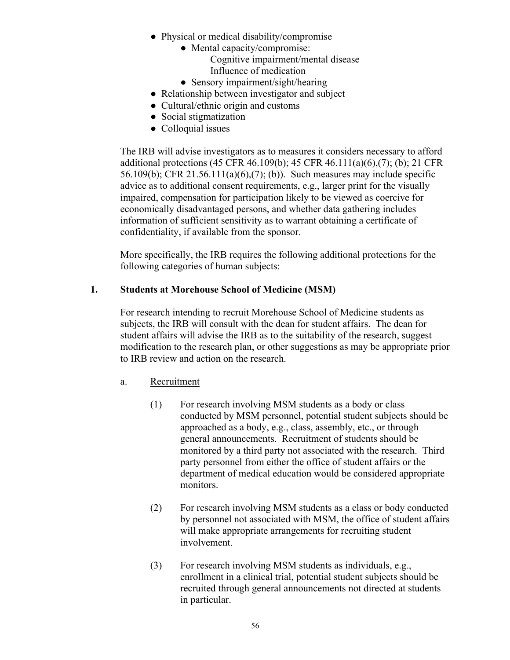- Physical or medical disability/compromise
	- Mental capacity/compromise: Cognitive impairment/mental disease Influence of medication
	- Sensory impairment/sight/hearing
- Relationship between investigator and subject
- Cultural/ethnic origin and customs
- Social stigmatization
- Colloquial issues

The IRB will advise investigators as to measures it considers necessary to afford additional protections (45 CFR 46.109(b); 45 CFR 46.111(a)(6),(7); (b); 21 CFR 56.109(b); CFR 21.56.111(a)(6),(7); (b)). Such measures may include specific advice as to additional consent requirements, e.g., larger print for the visually impaired, compensation for participation likely to be viewed as coercive for economically disadvantaged persons, and whether data gathering includes information of sufficient sensitivity as to warrant obtaining a certificate of confidentiality, if available from the sponsor.

More specifically, the IRB requires the following additional protections for the following categories of human subjects:

# **1. Students at Morehouse School of Medicine (MSM)**

For research intending to recruit Morehouse School of Medicine students as subjects, the IRB will consult with the dean for student affairs. The dean for student affairs will advise the IRB as to the suitability of the research, suggest modification to the research plan, or other suggestions as may be appropriate prior to IRB review and action on the research.

- a. Recruitment
	- (1) For research involving MSM students as a body or class conducted by MSM personnel, potential student subjects should be approached as a body, e.g., class, assembly, etc., or through general announcements. Recruitment of students should be monitored by a third party not associated with the research. Third party personnel from either the office of student affairs or the department of medical education would be considered appropriate monitors.
	- (2) For research involving MSM students as a class or body conducted by personnel not associated with MSM, the office of student affairs will make appropriate arrangements for recruiting student involvement.
	- (3) For research involving MSM students as individuals, e.g., enrollment in a clinical trial, potential student subjects should be recruited through general announcements not directed at students in particular.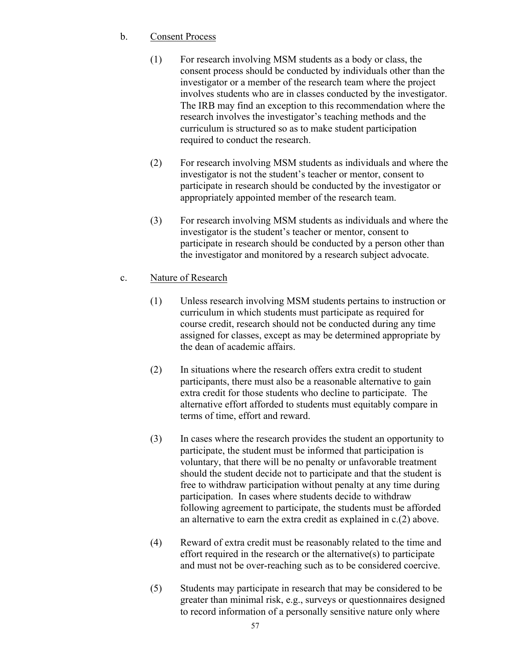## b. Consent Process

- (1) For research involving MSM students as a body or class, the consent process should be conducted by individuals other than the investigator or a member of the research team where the project involves students who are in classes conducted by the investigator. The IRB may find an exception to this recommendation where the research involves the investigator's teaching methods and the curriculum is structured so as to make student participation required to conduct the research.
- (2) For research involving MSM students as individuals and where the investigator is not the student's teacher or mentor, consent to participate in research should be conducted by the investigator or appropriately appointed member of the research team.
- (3) For research involving MSM students as individuals and where the investigator is the student's teacher or mentor, consent to participate in research should be conducted by a person other than the investigator and monitored by a research subject advocate.
- c. Nature of Research
	- (1) Unless research involving MSM students pertains to instruction or curriculum in which students must participate as required for course credit, research should not be conducted during any time assigned for classes, except as may be determined appropriate by the dean of academic affairs.
	- (2) In situations where the research offers extra credit to student participants, there must also be a reasonable alternative to gain extra credit for those students who decline to participate. The alternative effort afforded to students must equitably compare in terms of time, effort and reward.
	- (3) In cases where the research provides the student an opportunity to participate, the student must be informed that participation is voluntary, that there will be no penalty or unfavorable treatment should the student decide not to participate and that the student is free to withdraw participation without penalty at any time during participation. In cases where students decide to withdraw following agreement to participate, the students must be afforded an alternative to earn the extra credit as explained in c.(2) above.
	- (4) Reward of extra credit must be reasonably related to the time and effort required in the research or the alternative(s) to participate and must not be over-reaching such as to be considered coercive.
	- (5) Students may participate in research that may be considered to be greater than minimal risk, e.g., surveys or questionnaires designed to record information of a personally sensitive nature only where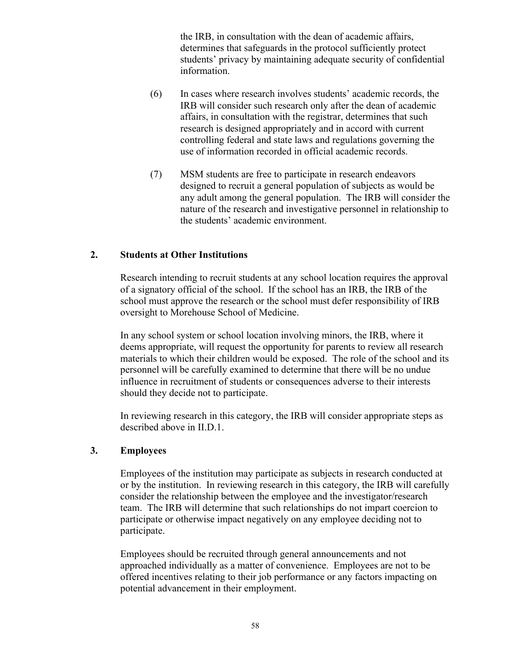the IRB, in consultation with the dean of academic affairs, determines that safeguards in the protocol sufficiently protect students' privacy by maintaining adequate security of confidential information.

- (6) In cases where research involves students' academic records, the IRB will consider such research only after the dean of academic affairs, in consultation with the registrar, determines that such research is designed appropriately and in accord with current controlling federal and state laws and regulations governing the use of information recorded in official academic records.
- (7) MSM students are free to participate in research endeavors designed to recruit a general population of subjects as would be any adult among the general population. The IRB will consider the nature of the research and investigative personnel in relationship to the students' academic environment.

## **2. Students at Other Institutions**

Research intending to recruit students at any school location requires the approval of a signatory official of the school. If the school has an IRB, the IRB of the school must approve the research or the school must defer responsibility of IRB oversight to Morehouse School of Medicine.

In any school system or school location involving minors, the IRB, where it deems appropriate, will request the opportunity for parents to review all research materials to which their children would be exposed. The role of the school and its personnel will be carefully examined to determine that there will be no undue influence in recruitment of students or consequences adverse to their interests should they decide not to participate.

In reviewing research in this category, the IRB will consider appropriate steps as described above in II.D.1.

#### **3. Employees**

Employees of the institution may participate as subjects in research conducted at or by the institution. In reviewing research in this category, the IRB will carefully consider the relationship between the employee and the investigator/research team. The IRB will determine that such relationships do not impart coercion to participate or otherwise impact negatively on any employee deciding not to participate.

Employees should be recruited through general announcements and not approached individually as a matter of convenience. Employees are not to be offered incentives relating to their job performance or any factors impacting on potential advancement in their employment.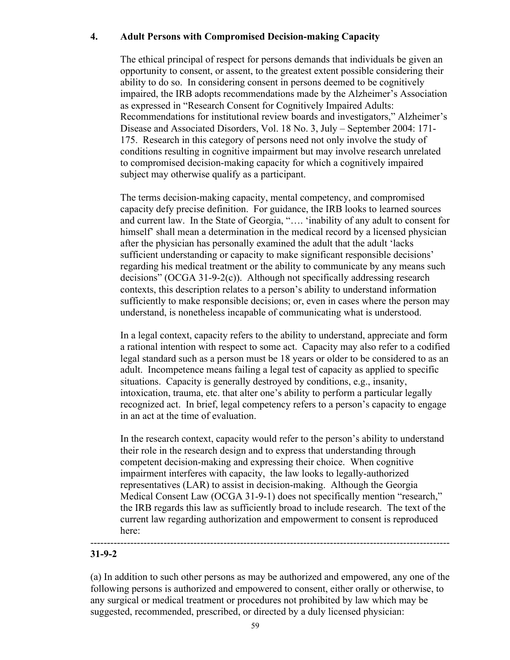# **4. Adult Persons with Compromised Decision-making Capacity**

The ethical principal of respect for persons demands that individuals be given an opportunity to consent, or assent, to the greatest extent possible considering their ability to do so. In considering consent in persons deemed to be cognitively impaired, the IRB adopts recommendations made by the Alzheimer's Association as expressed in "Research Consent for Cognitively Impaired Adults: Recommendations for institutional review boards and investigators," Alzheimer's Disease and Associated Disorders, Vol. 18 No. 3, July – September 2004: 171- 175. Research in this category of persons need not only involve the study of conditions resulting in cognitive impairment but may involve research unrelated to compromised decision-making capacity for which a cognitively impaired subject may otherwise qualify as a participant.

The terms decision-making capacity, mental competency, and compromised capacity defy precise definition. For guidance, the IRB looks to learned sources and current law. In the State of Georgia, "…. 'inability of any adult to consent for himself' shall mean a determination in the medical record by a licensed physician after the physician has personally examined the adult that the adult 'lacks sufficient understanding or capacity to make significant responsible decisions' regarding his medical treatment or the ability to communicate by any means such decisions" (OCGA 31-9-2(c)). Although not specifically addressing research contexts, this description relates to a person's ability to understand information sufficiently to make responsible decisions; or, even in cases where the person may understand, is nonetheless incapable of communicating what is understood.

In a legal context, capacity refers to the ability to understand, appreciate and form a rational intention with respect to some act. Capacity may also refer to a codified legal standard such as a person must be 18 years or older to be considered to as an adult. Incompetence means failing a legal test of capacity as applied to specific situations. Capacity is generally destroyed by conditions, e.g., insanity, intoxication, trauma, etc. that alter one's ability to perform a particular legally recognized act. In brief, legal competency refers to a person's capacity to engage in an act at the time of evaluation.

In the research context, capacity would refer to the person's ability to understand their role in the research design and to express that understanding through competent decision-making and expressing their choice. When cognitive impairment interferes with capacity, the law looks to legally-authorized representatives (LAR) to assist in decision-making. Although the Georgia Medical Consent Law (OCGA 31-9-1) does not specifically mention "research," the IRB regards this law as sufficiently broad to include research. The text of the current law regarding authorization and empowerment to consent is reproduced here:

#### ------------------------------------------------------------------------------------------------------------ **31-9-2**

(a) In addition to such other persons as may be authorized and empowered, any one of the following persons is authorized and empowered to consent, either orally or otherwise, to any surgical or medical treatment or procedures not prohibited by law which may be suggested, recommended, prescribed, or directed by a duly licensed physician: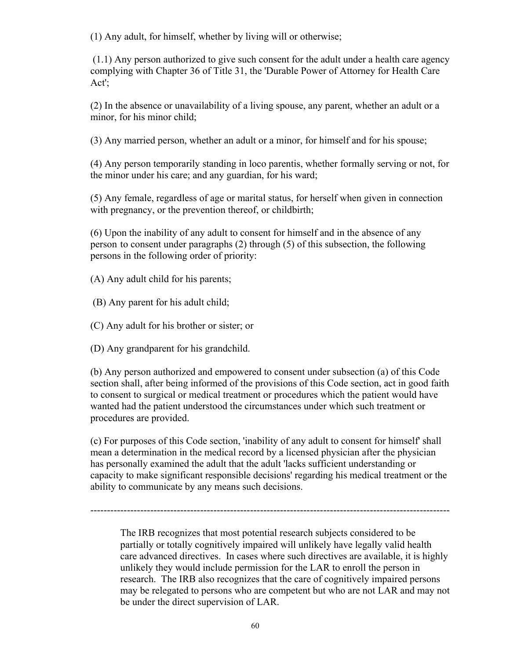(1) Any adult, for himself, whether by living will or otherwise;

(1.1) Any person authorized to give such consent for the adult under a health care agency complying with Chapter 36 of Title 31, the 'Durable Power of Attorney for Health Care Act';

(2) In the absence or unavailability of a living spouse, any parent, whether an adult or a minor, for his minor child;

(3) Any married person, whether an adult or a minor, for himself and for his spouse;

(4) Any person temporarily standing in loco parentis, whether formally serving or not, for the minor under his care; and any guardian, for his ward;

(5) Any female, regardless of age or marital status, for herself when given in connection with pregnancy, or the prevention thereof, or childbirth;

 (6) Upon the inability of any adult to consent for himself and in the absence of any person to consent under paragraphs (2) through (5) of this subsection, the following persons in the following order of priority:

(A) Any adult child for his parents;

(B) Any parent for his adult child;

(C) Any adult for his brother or sister; or

(D) Any grandparent for his grandchild.

(b) Any person authorized and empowered to consent under subsection (a) of this Code section shall, after being informed of the provisions of this Code section, act in good faith to consent to surgical or medical treatment or procedures which the patient would have wanted had the patient understood the circumstances under which such treatment or procedures are provided.

(c) For purposes of this Code section, 'inability of any adult to consent for himself' shall mean a determination in the medical record by a licensed physician after the physician has personally examined the adult that the adult 'lacks sufficient understanding or capacity to make significant responsible decisions' regarding his medical treatment or the ability to communicate by any means such decisions.

------------------------------------------------------------------------------------------------------------

The IRB recognizes that most potential research subjects considered to be partially or totally cognitively impaired will unlikely have legally valid health care advanced directives. In cases where such directives are available, it is highly unlikely they would include permission for the LAR to enroll the person in research. The IRB also recognizes that the care of cognitively impaired persons may be relegated to persons who are competent but who are not LAR and may not be under the direct supervision of LAR.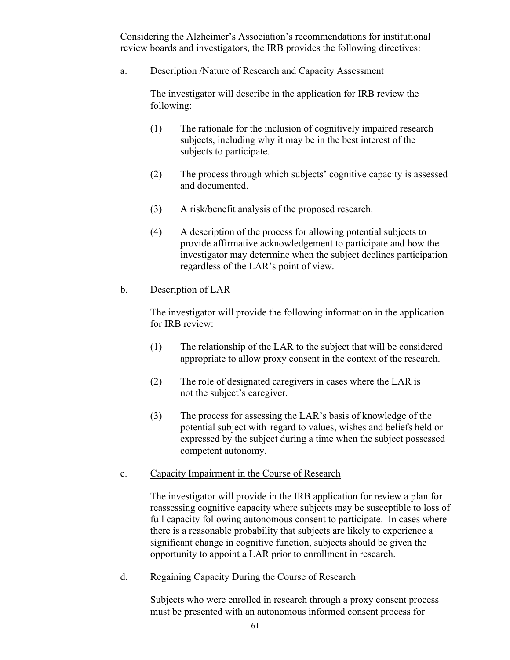Considering the Alzheimer's Association's recommendations for institutional review boards and investigators, the IRB provides the following directives:

a. Description /Nature of Research and Capacity Assessment

The investigator will describe in the application for IRB review the following:

- (1) The rationale for the inclusion of cognitively impaired research subjects, including why it may be in the best interest of the subjects to participate.
- (2) The process through which subjects' cognitive capacity is assessed and documented.
- (3) A risk/benefit analysis of the proposed research.
- (4) A description of the process for allowing potential subjects to provide affirmative acknowledgement to participate and how the investigator may determine when the subject declines participation regardless of the LAR's point of view.

## b. Description of LAR

The investigator will provide the following information in the application for IRB review:

- (1) The relationship of the LAR to the subject that will be considered appropriate to allow proxy consent in the context of the research.
- (2) The role of designated caregivers in cases where the LAR is not the subject's caregiver.
- (3) The process for assessing the LAR's basis of knowledge of the potential subject with regard to values, wishes and beliefs held or expressed by the subject during a time when the subject possessed competent autonomy.
- c. Capacity Impairment in the Course of Research

The investigator will provide in the IRB application for review a plan for reassessing cognitive capacity where subjects may be susceptible to loss of full capacity following autonomous consent to participate. In cases where there is a reasonable probability that subjects are likely to experience a significant change in cognitive function, subjects should be given the opportunity to appoint a LAR prior to enrollment in research.

d. Regaining Capacity During the Course of Research

Subjects who were enrolled in research through a proxy consent process must be presented with an autonomous informed consent process for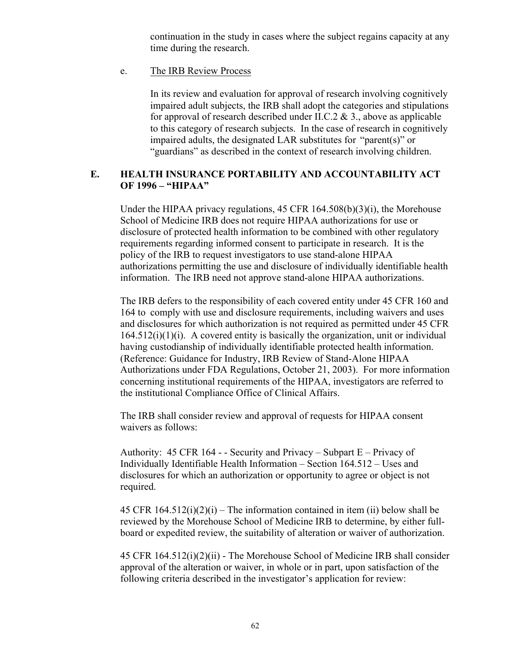continuation in the study in cases where the subject regains capacity at any time during the research.

e. The IRB Review Process

In its review and evaluation for approval of research involving cognitively impaired adult subjects, the IRB shall adopt the categories and stipulations for approval of research described under II.C.2  $& 3.$ , above as applicable to this category of research subjects. In the case of research in cognitively impaired adults, the designated LAR substitutes for "parent(s)" or "guardians" as described in the context of research involving children.

## **E. HEALTH INSURANCE PORTABILITY AND ACCOUNTABILITY ACT OF 1996 – "HIPAA"**

Under the HIPAA privacy regulations, 45 CFR 164.508(b)(3)(i), the Morehouse School of Medicine IRB does not require HIPAA authorizations for use or disclosure of protected health information to be combined with other regulatory requirements regarding informed consent to participate in research. It is the policy of the IRB to request investigators to use stand-alone HIPAA authorizations permitting the use and disclosure of individually identifiable health information. The IRB need not approve stand-alone HIPAA authorizations.

The IRB defers to the responsibility of each covered entity under 45 CFR 160 and 164 to comply with use and disclosure requirements, including waivers and uses and disclosures for which authorization is not required as permitted under 45 CFR  $164.512(i)(1)(i)$ . A covered entity is basically the organization, unit or individual having custodianship of individually identifiable protected health information. (Reference: Guidance for Industry, IRB Review of Stand-Alone HIPAA Authorizations under FDA Regulations, October 21, 2003). For more information concerning institutional requirements of the HIPAA, investigators are referred to the institutional Compliance Office of Clinical Affairs.

The IRB shall consider review and approval of requests for HIPAA consent waivers as follows:

Authority:  $45 \text{ CFR } 164$  - - Security and Privacy – Subpart E – Privacy of Individually Identifiable Health Information – Section 164.512 – Uses and disclosures for which an authorization or opportunity to agree or object is not required.

45 CFR  $164.512(i)(2)(i)$  – The information contained in item (ii) below shall be reviewed by the Morehouse School of Medicine IRB to determine, by either fullboard or expedited review, the suitability of alteration or waiver of authorization.

45 CFR 164.512(i)(2)(ii) - The Morehouse School of Medicine IRB shall consider approval of the alteration or waiver, in whole or in part, upon satisfaction of the following criteria described in the investigator's application for review: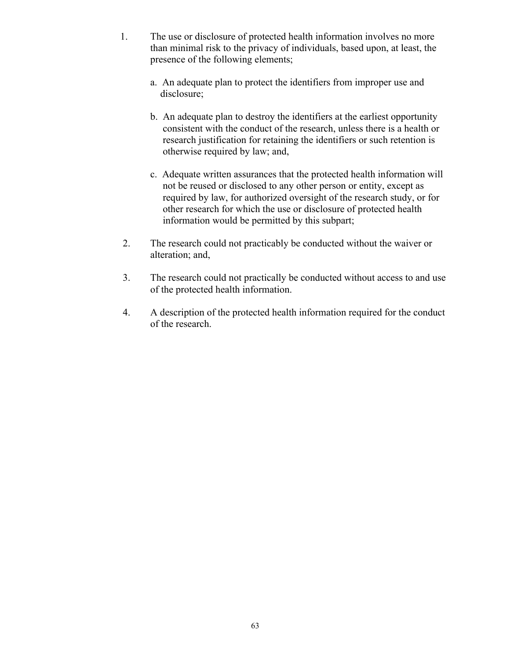- 1. The use or disclosure of protected health information involves no more than minimal risk to the privacy of individuals, based upon, at least, the presence of the following elements;
	- a. An adequate plan to protect the identifiers from improper use and disclosure;
	- b. An adequate plan to destroy the identifiers at the earliest opportunity consistent with the conduct of the research, unless there is a health or research justification for retaining the identifiers or such retention is otherwise required by law; and,
	- c. Adequate written assurances that the protected health information will not be reused or disclosed to any other person or entity, except as required by law, for authorized oversight of the research study, or for other research for which the use or disclosure of protected health information would be permitted by this subpart;
- 2. The research could not practicably be conducted without the waiver or alteration; and,
- 3. The research could not practically be conducted without access to and use of the protected health information.
- 4. A description of the protected health information required for the conduct of the research.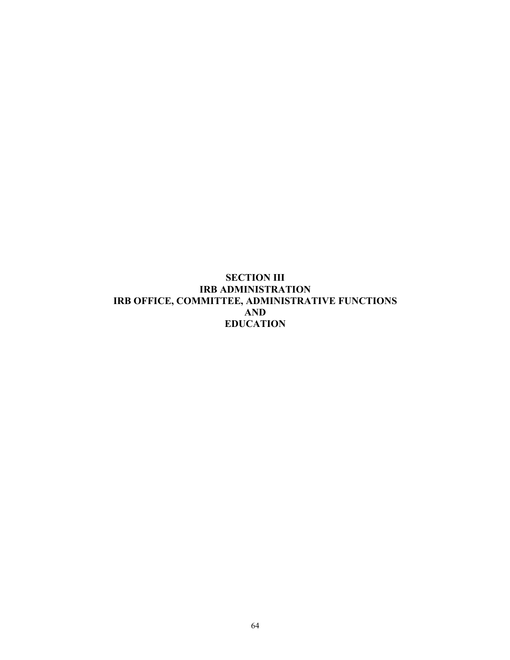# **SECTION III IRB ADMINISTRATION IRB OFFICE, COMMITTEE, ADMINISTRATIVE FUNCTIONS AND EDUCATION**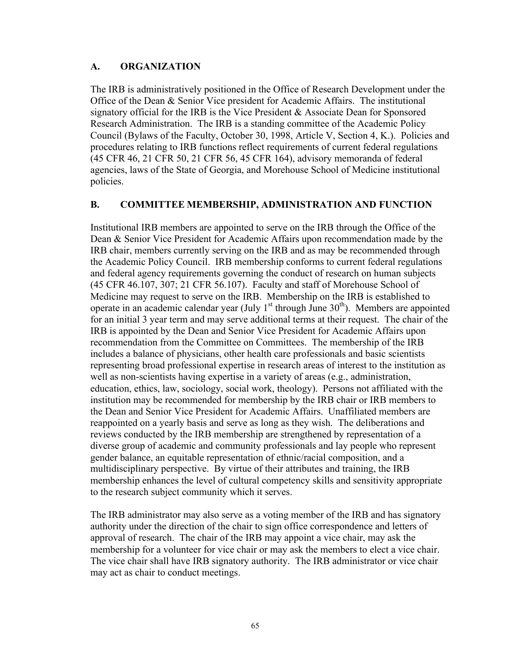# **A. ORGANIZATION**

The IRB is administratively positioned in the Office of Research Development under the Office of the Dean & Senior Vice president for Academic Affairs. The institutional signatory official for the IRB is the Vice President & Associate Dean for Sponsored Research Administration. The IRB is a standing committee of the Academic Policy Council (Bylaws of the Faculty, October 30, 1998, Article V, Section 4, K.). Policies and procedures relating to IRB functions reflect requirements of current federal regulations (45 CFR 46, 21 CFR 50, 21 CFR 56, 45 CFR 164), advisory memoranda of federal agencies, laws of the State of Georgia, and Morehouse School of Medicine institutional policies.

## **B. COMMITTEE MEMBERSHIP, ADMINISTRATION AND FUNCTION**

Institutional IRB members are appointed to serve on the IRB through the Office of the Dean & Senior Vice President for Academic Affairs upon recommendation made by the IRB chair, members currently serving on the IRB and as may be recommended through the Academic Policy Council. IRB membership conforms to current federal regulations and federal agency requirements governing the conduct of research on human subjects (45 CFR 46.107, 307; 21 CFR 56.107). Faculty and staff of Morehouse School of Medicine may request to serve on the IRB. Membership on the IRB is established to operate in an academic calendar year (July  $1<sup>st</sup>$  through June  $30<sup>th</sup>$ ). Members are appointed for an initial 3 year term and may serve additional terms at their request. The chair of the IRB is appointed by the Dean and Senior Vice President for Academic Affairs upon recommendation from the Committee on Committees. The membership of the IRB includes a balance of physicians, other health care professionals and basic scientists representing broad professional expertise in research areas of interest to the institution as well as non-scientists having expertise in a variety of areas (e.g., administration, education, ethics, law, sociology, social work, theology). Persons not affiliated with the institution may be recommended for membership by the IRB chair or IRB members to the Dean and Senior Vice President for Academic Affairs. Unaffiliated members are reappointed on a yearly basis and serve as long as they wish. The deliberations and reviews conducted by the IRB membership are strengthened by representation of a diverse group of academic and community professionals and lay people who represent gender balance, an equitable representation of ethnic/racial composition, and a multidisciplinary perspective. By virtue of their attributes and training, the IRB membership enhances the level of cultural competency skills and sensitivity appropriate to the research subject community which it serves.

The IRB administrator may also serve as a voting member of the IRB and has signatory authority under the direction of the chair to sign office correspondence and letters of approval of research. The chair of the IRB may appoint a vice chair, may ask the membership for a volunteer for vice chair or may ask the members to elect a vice chair. The vice chair shall have IRB signatory authority. The IRB administrator or vice chair may act as chair to conduct meetings.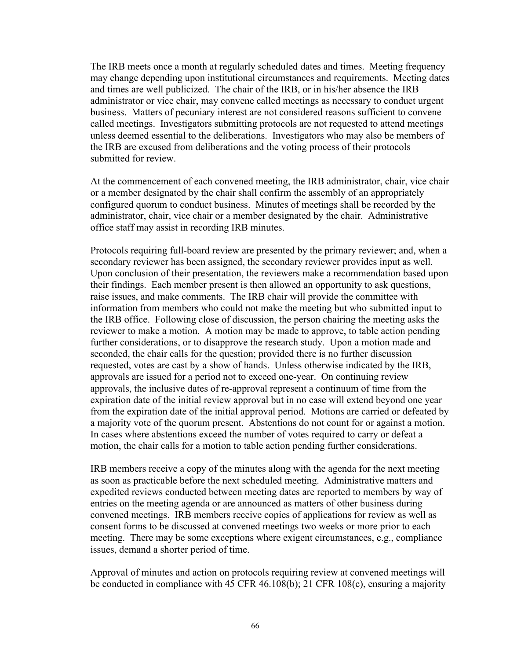The IRB meets once a month at regularly scheduled dates and times. Meeting frequency may change depending upon institutional circumstances and requirements. Meeting dates and times are well publicized. The chair of the IRB, or in his/her absence the IRB administrator or vice chair, may convene called meetings as necessary to conduct urgent business. Matters of pecuniary interest are not considered reasons sufficient to convene called meetings. Investigators submitting protocols are not requested to attend meetings unless deemed essential to the deliberations. Investigators who may also be members of the IRB are excused from deliberations and the voting process of their protocols submitted for review.

At the commencement of each convened meeting, the IRB administrator, chair, vice chair or a member designated by the chair shall confirm the assembly of an appropriately configured quorum to conduct business. Minutes of meetings shall be recorded by the administrator, chair, vice chair or a member designated by the chair. Administrative office staff may assist in recording IRB minutes.

Protocols requiring full-board review are presented by the primary reviewer; and, when a secondary reviewer has been assigned, the secondary reviewer provides input as well. Upon conclusion of their presentation, the reviewers make a recommendation based upon their findings. Each member present is then allowed an opportunity to ask questions, raise issues, and make comments. The IRB chair will provide the committee with information from members who could not make the meeting but who submitted input to the IRB office. Following close of discussion, the person chairing the meeting asks the reviewer to make a motion. A motion may be made to approve, to table action pending further considerations, or to disapprove the research study. Upon a motion made and seconded, the chair calls for the question; provided there is no further discussion requested, votes are cast by a show of hands. Unless otherwise indicated by the IRB, approvals are issued for a period not to exceed one-year. On continuing review approvals, the inclusive dates of re-approval represent a continuum of time from the expiration date of the initial review approval but in no case will extend beyond one year from the expiration date of the initial approval period. Motions are carried or defeated by a majority vote of the quorum present. Abstentions do not count for or against a motion. In cases where abstentions exceed the number of votes required to carry or defeat a motion, the chair calls for a motion to table action pending further considerations.

IRB members receive a copy of the minutes along with the agenda for the next meeting as soon as practicable before the next scheduled meeting. Administrative matters and expedited reviews conducted between meeting dates are reported to members by way of entries on the meeting agenda or are announced as matters of other business during convened meetings. IRB members receive copies of applications for review as well as consent forms to be discussed at convened meetings two weeks or more prior to each meeting. There may be some exceptions where exigent circumstances, e.g., compliance issues, demand a shorter period of time.

Approval of minutes and action on protocols requiring review at convened meetings will be conducted in compliance with 45 CFR 46.108(b); 21 CFR 108(c), ensuring a majority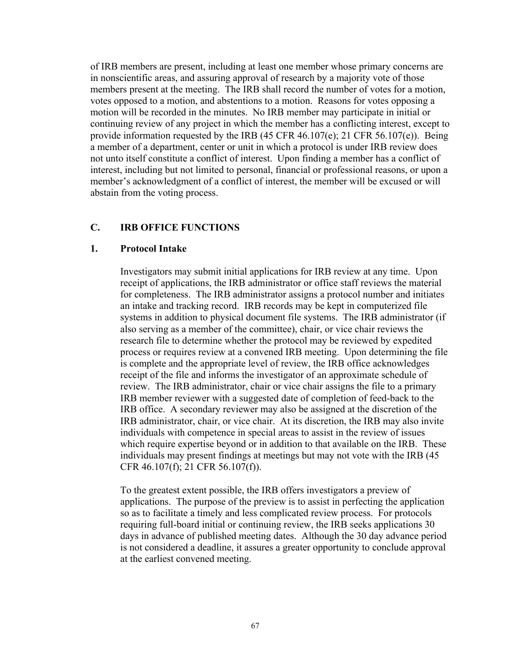of IRB members are present, including at least one member whose primary concerns are in nonscientific areas, and assuring approval of research by a majority vote of those members present at the meeting. The IRB shall record the number of votes for a motion, votes opposed to a motion, and abstentions to a motion. Reasons for votes opposing a motion will be recorded in the minutes. No IRB member may participate in initial or continuing review of any project in which the member has a conflicting interest, except to provide information requested by the IRB (45 CFR 46.107(e); 21 CFR 56.107(e)). Being a member of a department, center or unit in which a protocol is under IRB review does not unto itself constitute a conflict of interest. Upon finding a member has a conflict of interest, including but not limited to personal, financial or professional reasons, or upon a member's acknowledgment of a conflict of interest, the member will be excused or will abstain from the voting process.

#### **C. IRB OFFICE FUNCTIONS**

#### **1. Protocol Intake**

Investigators may submit initial applications for IRB review at any time. Upon receipt of applications, the IRB administrator or office staff reviews the material for completeness. The IRB administrator assigns a protocol number and initiates an intake and tracking record. IRB records may be kept in computerized file systems in addition to physical document file systems. The IRB administrator (if also serving as a member of the committee), chair, or vice chair reviews the research file to determine whether the protocol may be reviewed by expedited process or requires review at a convened IRB meeting. Upon determining the file is complete and the appropriate level of review, the IRB office acknowledges receipt of the file and informs the investigator of an approximate schedule of review. The IRB administrator, chair or vice chair assigns the file to a primary IRB member reviewer with a suggested date of completion of feed-back to the IRB office. A secondary reviewer may also be assigned at the discretion of the IRB administrator, chair, or vice chair. At its discretion, the IRB may also invite individuals with competence in special areas to assist in the review of issues which require expertise beyond or in addition to that available on the IRB. These individuals may present findings at meetings but may not vote with the IRB (45 CFR 46.107(f); 21 CFR 56.107(f)).

To the greatest extent possible, the IRB offers investigators a preview of applications. The purpose of the preview is to assist in perfecting the application so as to facilitate a timely and less complicated review process. For protocols requiring full-board initial or continuing review, the IRB seeks applications 30 days in advance of published meeting dates. Although the 30 day advance period is not considered a deadline, it assures a greater opportunity to conclude approval at the earliest convened meeting.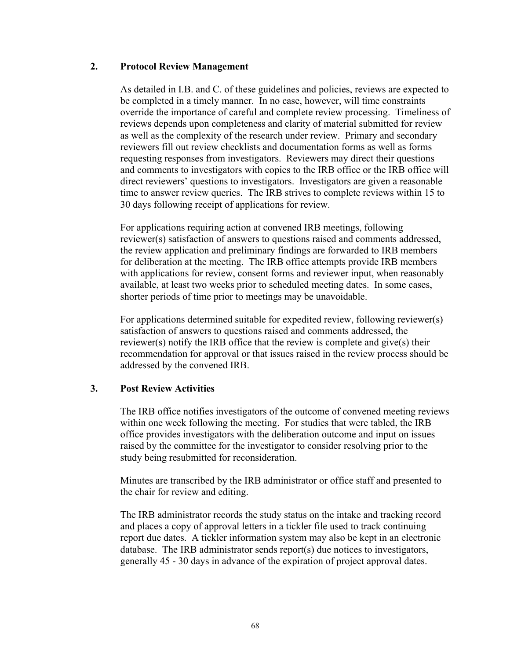## **2. Protocol Review Management**

As detailed in I.B. and C. of these guidelines and policies, reviews are expected to be completed in a timely manner. In no case, however, will time constraints override the importance of careful and complete review processing. Timeliness of reviews depends upon completeness and clarity of material submitted for review as well as the complexity of the research under review. Primary and secondary reviewers fill out review checklists and documentation forms as well as forms requesting responses from investigators. Reviewers may direct their questions and comments to investigators with copies to the IRB office or the IRB office will direct reviewers' questions to investigators. Investigators are given a reasonable time to answer review queries. The IRB strives to complete reviews within 15 to 30 days following receipt of applications for review.

For applications requiring action at convened IRB meetings, following reviewer(s) satisfaction of answers to questions raised and comments addressed, the review application and preliminary findings are forwarded to IRB members for deliberation at the meeting. The IRB office attempts provide IRB members with applications for review, consent forms and reviewer input, when reasonably available, at least two weeks prior to scheduled meeting dates. In some cases, shorter periods of time prior to meetings may be unavoidable.

For applications determined suitable for expedited review, following reviewer(s) satisfaction of answers to questions raised and comments addressed, the reviewer(s) notify the IRB office that the review is complete and give(s) their recommendation for approval or that issues raised in the review process should be addressed by the convened IRB.

#### **3. Post Review Activities**

The IRB office notifies investigators of the outcome of convened meeting reviews within one week following the meeting. For studies that were tabled, the IRB office provides investigators with the deliberation outcome and input on issues raised by the committee for the investigator to consider resolving prior to the study being resubmitted for reconsideration.

Minutes are transcribed by the IRB administrator or office staff and presented to the chair for review and editing.

The IRB administrator records the study status on the intake and tracking record and places a copy of approval letters in a tickler file used to track continuing report due dates. A tickler information system may also be kept in an electronic database. The IRB administrator sends report(s) due notices to investigators, generally 45 - 30 days in advance of the expiration of project approval dates.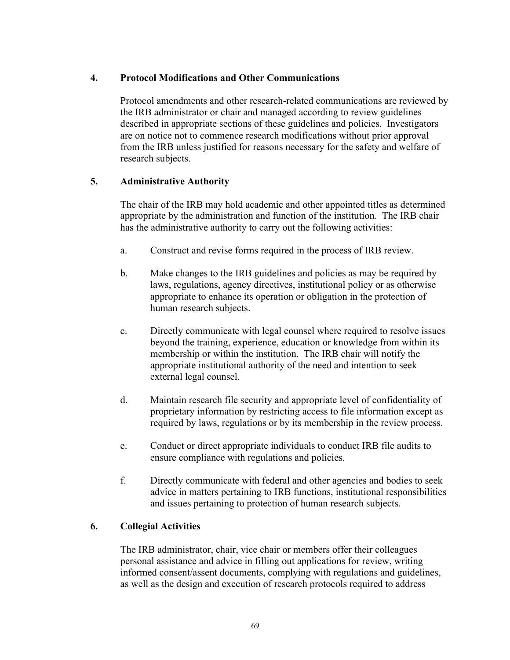# **4. Protocol Modifications and Other Communications**

Protocol amendments and other research-related communications are reviewed by the IRB administrator or chair and managed according to review guidelines described in appropriate sections of these guidelines and policies. Investigators are on notice not to commence research modifications without prior approval from the IRB unless justified for reasons necessary for the safety and welfare of research subjects.

# **5. Administrative Authority**

The chair of the IRB may hold academic and other appointed titles as determined appropriate by the administration and function of the institution. The IRB chair has the administrative authority to carry out the following activities:

- a. Construct and revise forms required in the process of IRB review.
- b. Make changes to the IRB guidelines and policies as may be required by laws, regulations, agency directives, institutional policy or as otherwise appropriate to enhance its operation or obligation in the protection of human research subjects.
- c. Directly communicate with legal counsel where required to resolve issues beyond the training, experience, education or knowledge from within its membership or within the institution. The IRB chair will notify the appropriate institutional authority of the need and intention to seek external legal counsel.
- d. Maintain research file security and appropriate level of confidentiality of proprietary information by restricting access to file information except as required by laws, regulations or by its membership in the review process.
- e. Conduct or direct appropriate individuals to conduct IRB file audits to ensure compliance with regulations and policies.
- f. Directly communicate with federal and other agencies and bodies to seek advice in matters pertaining to IRB functions, institutional responsibilities and issues pertaining to protection of human research subjects.

# **6. Collegial Activities**

The IRB administrator, chair, vice chair or members offer their colleagues personal assistance and advice in filling out applications for review, writing informed consent/assent documents, complying with regulations and guidelines, as well as the design and execution of research protocols required to address